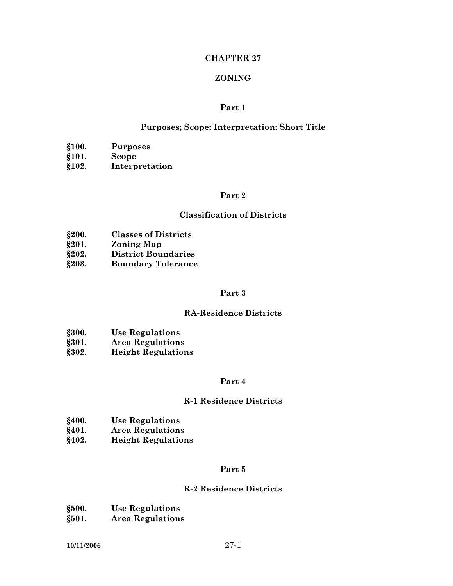# **CHAPTER 27**

### **ZONING**

### **Part 1**

#### **Purposes; Scope; Interpretation; Short Title**

- 
- **§100. Purposes §101. Scope**
- **§102. Interpretation**

# **Part 2**

#### **Classification of Districts**

- **§200. Classes of Districts**
- **§201. Zoning Map**
- **§202. District Boundaries**
- **§203. Boundary Tolerance**

# **Part 3**

#### **RA-Residence Districts**

- **§300. Use Regulations**
- **§301. Area Regulations**
- **§302. Height Regulations**

#### **Part 4**

#### **R-1 Residence Districts**

- **§400. Use Regulations**
- **§401. Area Regulations**
- **§402. Height Regulations**

# **Part 5**

### **R-2 Residence Districts**

- **§500. Use Regulations**
- **§501. Area Regulations**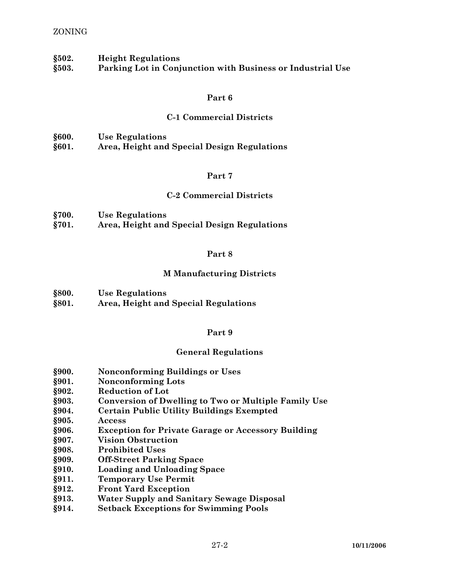### ZONING

**§502. Height Regulations** 

**§503. Parking Lot in Conjunction with Business or Industrial Use** 

#### **Part 6**

## **C-1 Commercial Districts**

| §600. | <b>Use Regulations</b>                      |
|-------|---------------------------------------------|
| §601. | Area, Height and Special Design Regulations |

#### **Part 7**

# **C-2 Commercial Districts**

| §700. | <b>Use Regulations</b>                      |
|-------|---------------------------------------------|
| §701. | Area, Height and Special Design Regulations |

#### **Part 8**

### **M Manufacturing Districts**

**§800. Use Regulations** 

**§801. Area, Height and Special Regulations** 

#### **Part 9**

# **General Regulations**

- **§900. Nonconforming Buildings or Uses**
- **§901. Nonconforming Lots**
- **§902. Reduction of Lot**
- **§903. Conversion of Dwelling to Two or Multiple Family Use**
- **§904. Certain Public Utility Buildings Exempted**
- **§905. Access**
- **§906. Exception for Private Garage or Accessory Building**
- **§907. Vision Obstruction**
- **§908. Prohibited Uses**
- **§909. Off-Street Parking Space**
- **§910. Loading and Unloading Space**
- **§911. Temporary Use Permit**
- **§912. Front Yard Exception**
- **§913. Water Supply and Sanitary Sewage Disposal**
- **§914. Setback Exceptions for Swimming Pools**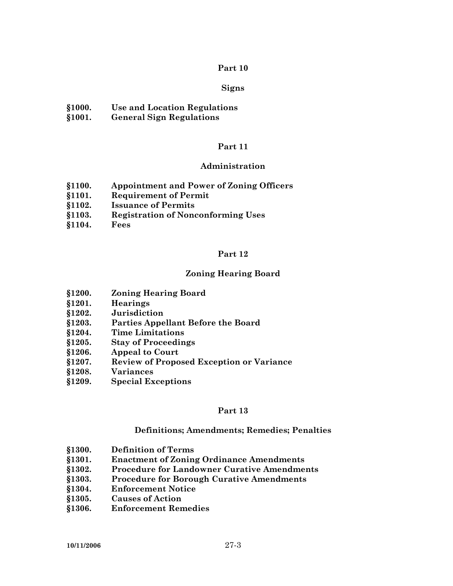### **Signs**

- **§1000. Use and Location Regulations**
- **§1001. General Sign Regulations**

# **Part 11**

### **Administration**

- **§1100. Appointment and Power of Zoning Officers**
- **§1101. Requirement of Permit**
- **§1102. Issuance of Permits**
- **§1103. Registration of Nonconforming Uses**
- **§1104. Fees**

### **Part 12**

# **Zoning Hearing Board**

- **§1200. Zoning Hearing Board**
- **§1201. Hearings**
- **§1202. Jurisdiction**
- **§1203. Parties Appellant Before the Board**
- **§1204. Time Limitations**
- **§1205. Stay of Proceedings**
- **§1206. Appeal to Court**
- **§1207. Review of Proposed Exception or Variance**
- **§1208. Variances**
- **§1209. Special Exceptions**

#### **Part 13**

# **Definitions; Amendments; Remedies; Penalties**

- **§1300. Definition of Terms**
- **§1301. Enactment of Zoning Ordinance Amendments**
- **§1302. Procedure for Landowner Curative Amendments**
- **§1303. Procedure for Borough Curative Amendments**
- **§1304. Enforcement Notice**
- **§1305. Causes of Action**
- **§1306. Enforcement Remedies**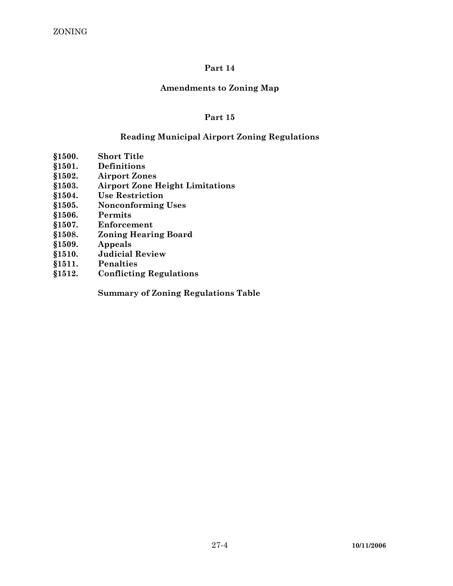# **Amendments to Zoning Map**

# **Part 15**

# **Reading Municipal Airport Zoning Regulations**

- **§1500. Short Title**
- **§1501. Definitions**
- **§1502. Airport Zones**
- **§1503. Airport Zone Height Limitations**
- **§1504. Use Restriction**
- **§1505. Nonconforming Uses**
- **§1506. Permits**
- **§1507. Enforcement**
- **§1508. Zoning Hearing Board**
- **§1509. Appeals**
- **§1510. Judicial Review**
- **§1511. Penalties**
- **§1512. Conflicting Regulations**

 **Summary of Zoning Regulations Table**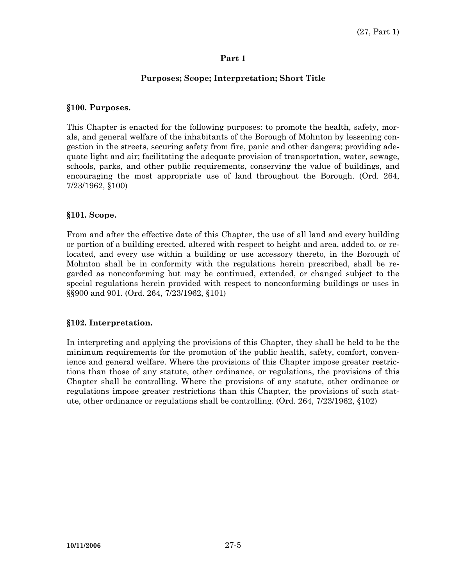# **Purposes; Scope; Interpretation; Short Title**

## **§100. Purposes.**

This Chapter is enacted for the following purposes: to promote the health, safety, morals, and general welfare of the inhabitants of the Borough of Mohnton by lessening congestion in the streets, securing safety from fire, panic and other dangers; providing adequate light and air; facilitating the adequate provision of transportation, water, sewage, schools, parks, and other public requirements, conserving the value of buildings, and encouraging the most appropriate use of land throughout the Borough. (Ord. 264, 7/23/1962, §100)

# **§101. Scope.**

From and after the effective date of this Chapter, the use of all land and every building or portion of a building erected, altered with respect to height and area, added to, or relocated, and every use within a building or use accessory thereto, in the Borough of Mohnton shall be in conformity with the regulations herein prescribed, shall be regarded as nonconforming but may be continued, extended, or changed subject to the special regulations herein provided with respect to nonconforming buildings or uses in §§900 and 901. (Ord. 264, 7/23/1962, §101)

# **§102. Interpretation.**

In interpreting and applying the provisions of this Chapter, they shall be held to be the minimum requirements for the promotion of the public health, safety, comfort, convenience and general welfare. Where the provisions of this Chapter impose greater restrictions than those of any statute, other ordinance, or regulations, the provisions of this Chapter shall be controlling. Where the provisions of any statute, other ordinance or regulations impose greater restrictions than this Chapter, the provisions of such statute, other ordinance or regulations shall be controlling. (Ord. 264, 7/23/1962, §102)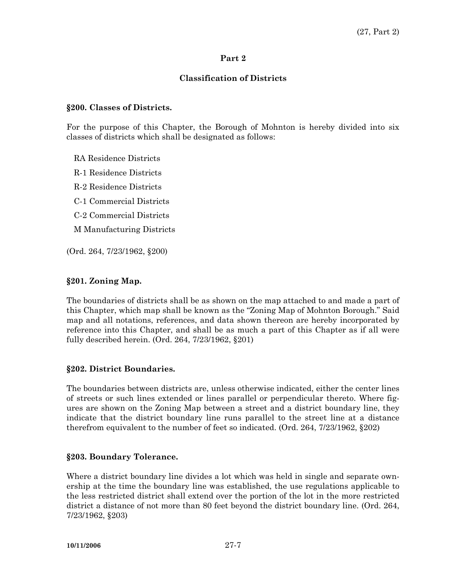# **Classification of Districts**

## **§200. Classes of Districts.**

For the purpose of this Chapter, the Borough of Mohnton is hereby divided into six classes of districts which shall be designated as follows:

RA Residence Districts

R-1 Residence Districts

R-2 Residence Districts

C-1 Commercial Districts

C-2 Commercial Districts

M Manufacturing Districts

(Ord. 264, 7/23/1962, §200)

# **§201. Zoning Map.**

The boundaries of districts shall be as shown on the map attached to and made a part of this Chapter, which map shall be known as the "Zoning Map of Mohnton Borough." Said map and all notations, references, and data shown thereon are hereby incorporated by reference into this Chapter, and shall be as much a part of this Chapter as if all were fully described herein. (Ord. 264, 7/23/1962, §201)

# **§202. District Boundaries.**

The boundaries between districts are, unless otherwise indicated, either the center lines of streets or such lines extended or lines parallel or perpendicular thereto. Where figures are shown on the Zoning Map between a street and a district boundary line, they indicate that the district boundary line runs parallel to the street line at a distance therefrom equivalent to the number of feet so indicated. (Ord. 264, 7/23/1962, §202)

# **§203. Boundary Tolerance.**

Where a district boundary line divides a lot which was held in single and separate ownership at the time the boundary line was established, the use regulations applicable to the less restricted district shall extend over the portion of the lot in the more restricted district a distance of not more than 80 feet beyond the district boundary line. (Ord. 264, 7/23/1962, §203)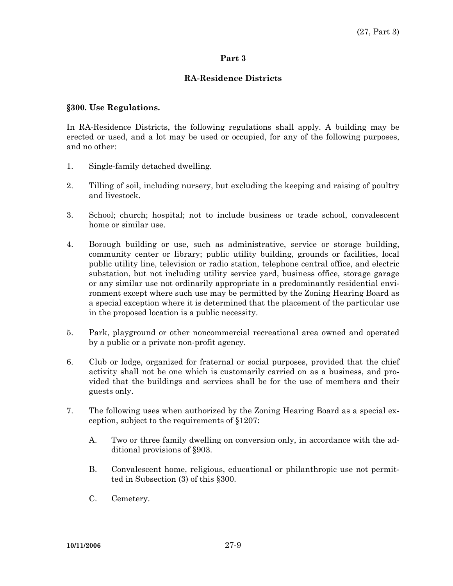# **RA-Residence Districts**

## **§300. Use Regulations.**

In RA-Residence Districts, the following regulations shall apply. A building may be erected or used, and a lot may be used or occupied, for any of the following purposes, and no other:

- 1. Single-family detached dwelling.
- 2. Tilling of soil, including nursery, but excluding the keeping and raising of poultry and livestock.
- 3. School; church; hospital; not to include business or trade school, convalescent home or similar use.
- 4. Borough building or use, such as administrative, service or storage building, community center or library; public utility building, grounds or facilities, local public utility line, television or radio station, telephone central office, and electric substation, but not including utility service yard, business office, storage garage or any similar use not ordinarily appropriate in a predominantly residential environment except where such use may be permitted by the Zoning Hearing Board as a special exception where it is determined that the placement of the particular use in the proposed location is a public necessity.
- 5. Park, playground or other noncommercial recreational area owned and operated by a public or a private non-profit agency.
- 6. Club or lodge, organized for fraternal or social purposes, provided that the chief activity shall not be one which is customarily carried on as a business, and provided that the buildings and services shall be for the use of members and their guests only.
- 7. The following uses when authorized by the Zoning Hearing Board as a special exception, subject to the requirements of §1207:
	- A. Two or three family dwelling on conversion only, in accordance with the additional provisions of §903.
	- B. Convalescent home, religious, educational or philanthropic use not permitted in Subsection (3) of this §300.
	- C. Cemetery.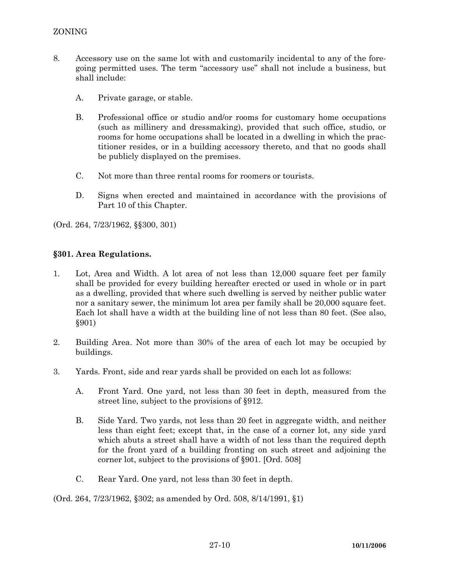- 8. Accessory use on the same lot with and customarily incidental to any of the foregoing permitted uses. The term "accessory use" shall not include a business, but shall include:
	- A. Private garage, or stable.
	- B. Professional office or studio and/or rooms for customary home occupations (such as millinery and dressmaking), provided that such office, studio, or rooms for home occupations shall be located in a dwelling in which the practitioner resides, or in a building accessory thereto, and that no goods shall be publicly displayed on the premises.
	- C. Not more than three rental rooms for roomers or tourists.
	- D. Signs when erected and maintained in accordance with the provisions of Part 10 of this Chapter.

(Ord. 264, 7/23/1962, §§300, 301)

# **§301. Area Regulations.**

- 1. Lot, Area and Width. A lot area of not less than 12,000 square feet per family shall be provided for every building hereafter erected or used in whole or in part as a dwelling, provided that where such dwelling is served by neither public water nor a sanitary sewer, the minimum lot area per family shall be 20,000 square feet. Each lot shall have a width at the building line of not less than 80 feet. (See also, §901)
- 2. Building Area. Not more than 30% of the area of each lot may be occupied by buildings.
- 3. Yards. Front, side and rear yards shall be provided on each lot as follows:
	- A. Front Yard. One yard, not less than 30 feet in depth, measured from the street line, subject to the provisions of §912.
	- B. Side Yard. Two yards, not less than 20 feet in aggregate width, and neither less than eight feet; except that, in the case of a corner lot, any side yard which abuts a street shall have a width of not less than the required depth for the front yard of a building fronting on such street and adjoining the corner lot, subject to the provisions of §901. [Ord. 508]
	- C. Rear Yard. One yard, not less than 30 feet in depth.

(Ord. 264, 7/23/1962, §302; as amended by Ord. 508, 8/14/1991, §1)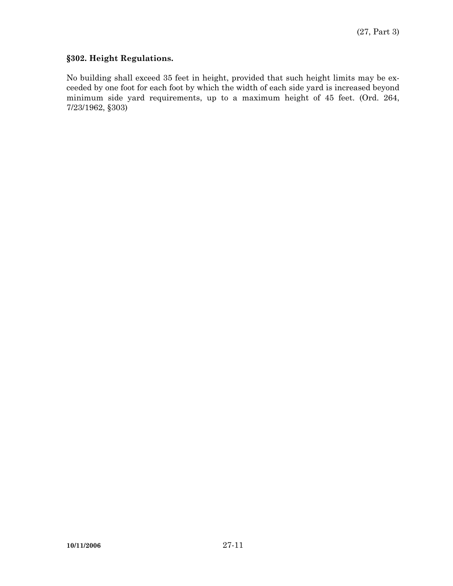# **§302. Height Regulations.**

No building shall exceed 35 feet in height, provided that such height limits may be exceeded by one foot for each foot by which the width of each side yard is increased beyond minimum side yard requirements, up to a maximum height of 45 feet. (Ord. 264, 7/23/1962, §303)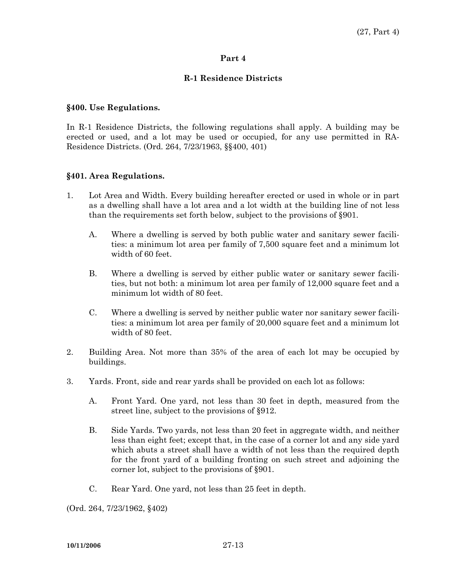# **R-1 Residence Districts**

## **§400. Use Regulations.**

In R-1 Residence Districts, the following regulations shall apply. A building may be erected or used, and a lot may be used or occupied, for any use permitted in RA-Residence Districts. (Ord. 264, 7/23/1963, §§400, 401)

# **§401. Area Regulations.**

- 1. Lot Area and Width. Every building hereafter erected or used in whole or in part as a dwelling shall have a lot area and a lot width at the building line of not less than the requirements set forth below, subject to the provisions of §901.
	- A. Where a dwelling is served by both public water and sanitary sewer facilities: a minimum lot area per family of 7,500 square feet and a minimum lot width of 60 feet.
	- B. Where a dwelling is served by either public water or sanitary sewer facilities, but not both: a minimum lot area per family of 12,000 square feet and a minimum lot width of 80 feet.
	- C. Where a dwelling is served by neither public water nor sanitary sewer facilities: a minimum lot area per family of 20,000 square feet and a minimum lot width of 80 feet.
- 2. Building Area. Not more than 35% of the area of each lot may be occupied by buildings.
- 3. Yards. Front, side and rear yards shall be provided on each lot as follows:
	- A. Front Yard. One yard, not less than 30 feet in depth, measured from the street line, subject to the provisions of §912.
	- B. Side Yards. Two yards, not less than 20 feet in aggregate width, and neither less than eight feet; except that, in the case of a corner lot and any side yard which abuts a street shall have a width of not less than the required depth for the front yard of a building fronting on such street and adjoining the corner lot, subject to the provisions of §901.
	- C. Rear Yard. One yard, not less than 25 feet in depth.

(Ord. 264, 7/23/1962, §402)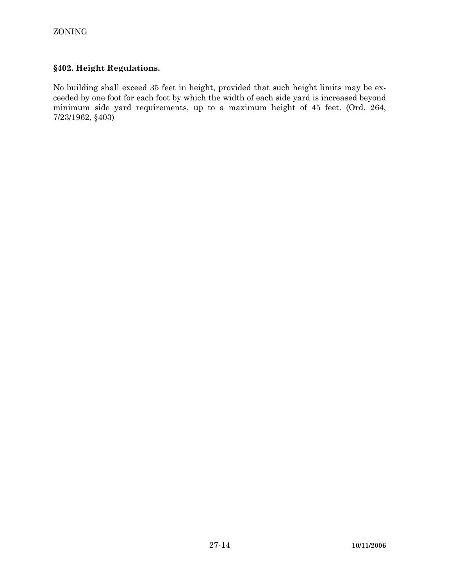# **§402. Height Regulations.**

No building shall exceed 35 feet in height, provided that such height limits may be exceeded by one foot for each foot by which the width of each side yard is increased beyond minimum side yard requirements, up to a maximum height of 45 feet. (Ord. 264, 7/23/1962, §403)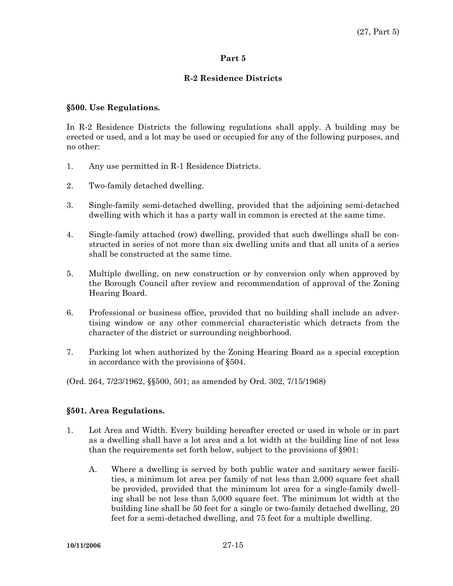# **R-2 Residence Districts**

## **§500. Use Regulations.**

In R-2 Residence Districts the following regulations shall apply. A building may be erected or used, and a lot may be used or occupied for any of the following purposes, and no other:

- 1. Any use permitted in R-1 Residence Districts.
- 2. Two-family detached dwelling.
- 3. Single-family semi-detached dwelling, provided that the adjoining semi-detached dwelling with which it has a party wall in common is erected at the same time.
- 4. Single-family attached (row) dwelling, provided that such dwellings shall be constructed in series of not more than six dwelling units and that all units of a series shall be constructed at the same time.
- 5. Multiple dwelling, on new construction or by conversion only when approved by the Borough Council after review and recommendation of approval of the Zoning Hearing Board.
- 6. Professional or business office, provided that no building shall include an advertising window or any other commercial characteristic which detracts from the character of the district or surrounding neighborhood.
- 7. Parking lot when authorized by the Zoning Hearing Board as a special exception in accordance with the provisions of §504.
- (Ord. 264, 7/23/1962, §§500, 501; as amended by Ord. 302, 7/15/1968)

# **§501. Area Regulations.**

- 1. Lot Area and Width. Every building hereafter erected or used in whole or in part as a dwelling shall have a lot area and a lot width at the building line of not less than the requirements set forth below, subject to the provisions of §901:
	- A. Where a dwelling is served by both public water and sanitary sewer facilities, a minimum lot area per family of not less than 2,000 square feet shall be provided, provided that the minimum lot area for a single-family dwelling shall be not less than 5,000 square feet. The minimum lot width at the building line shall be 50 feet for a single or two-family detached dwelling, 20 feet for a semi-detached dwelling, and 75 feet for a multiple dwelling.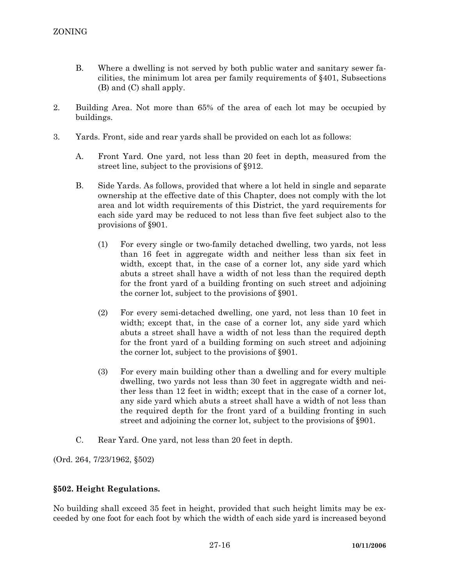- B. Where a dwelling is not served by both public water and sanitary sewer facilities, the minimum lot area per family requirements of §401, Subsections (B) and (C) shall apply.
- 2. Building Area. Not more than 65% of the area of each lot may be occupied by buildings.
- 3. Yards. Front, side and rear yards shall be provided on each lot as follows:
	- A. Front Yard. One yard, not less than 20 feet in depth, measured from the street line, subject to the provisions of §912.
	- B. Side Yards. As follows, provided that where a lot held in single and separate ownership at the effective date of this Chapter, does not comply with the lot area and lot width requirements of this District, the yard requirements for each side yard may be reduced to not less than five feet subject also to the provisions of §901.
		- (1) For every single or two-family detached dwelling, two yards, not less than 16 feet in aggregate width and neither less than six feet in width, except that, in the case of a corner lot, any side yard which abuts a street shall have a width of not less than the required depth for the front yard of a building fronting on such street and adjoining the corner lot, subject to the provisions of §901.
		- (2) For every semi-detached dwelling, one yard, not less than 10 feet in width; except that, in the case of a corner lot, any side yard which abuts a street shall have a width of not less than the required depth for the front yard of a building forming on such street and adjoining the corner lot, subject to the provisions of §901.
		- (3) For every main building other than a dwelling and for every multiple dwelling, two yards not less than 30 feet in aggregate width and neither less than 12 feet in width; except that in the case of a corner lot, any side yard which abuts a street shall have a width of not less than the required depth for the front yard of a building fronting in such street and adjoining the corner lot, subject to the provisions of §901.
	- C. Rear Yard. One yard, not less than 20 feet in depth.

(Ord. 264, 7/23/1962, §502)

# **§502. Height Regulations.**

No building shall exceed 35 feet in height, provided that such height limits may be exceeded by one foot for each foot by which the width of each side yard is increased beyond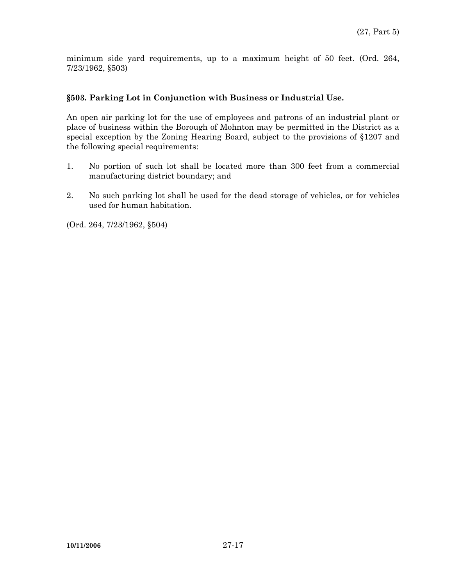minimum side yard requirements, up to a maximum height of 50 feet. (Ord. 264, 7/23/1962, §503)

## **§503. Parking Lot in Conjunction with Business or Industrial Use.**

An open air parking lot for the use of employees and patrons of an industrial plant or place of business within the Borough of Mohnton may be permitted in the District as a special exception by the Zoning Hearing Board, subject to the provisions of §1207 and the following special requirements:

- 1. No portion of such lot shall be located more than 300 feet from a commercial manufacturing district boundary; and
- 2. No such parking lot shall be used for the dead storage of vehicles, or for vehicles used for human habitation.

(Ord. 264, 7/23/1962, §504)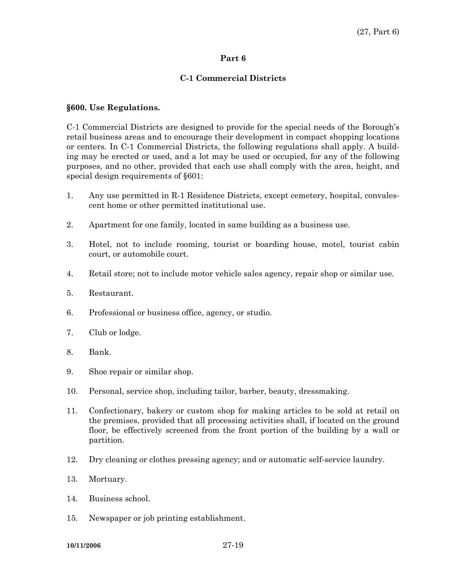#### **C-1 Commercial Districts**

#### **§600. Use Regulations.**

C-1 Commercial Districts are designed to provide for the special needs of the Borough's retail business areas and to encourage their development in compact shopping locations or centers. In C-1 Commercial Districts, the following regulations shall apply. A building may be erected or used, and a lot may be used or occupied, for any of the following purposes, and no other, provided that each use shall comply with the area, height, and special design requirements of §601:

- 1. Any use permitted in R-1 Residence Districts, except cemetery, hospital, convalescent home or other permitted institutional use.
- 2. Apartment for one family, located in same building as a business use.
- 3. Hotel, not to include rooming, tourist or boarding house, motel, tourist cabin court, or automobile court.
- 4. Retail store; not to include motor vehicle sales agency, repair shop or similar use.
- 5. Restaurant.
- 6. Professional or business office, agency, or studio.
- 7. Club or lodge.
- 8. Bank.
- 9. Shoe repair or similar shop.
- 10. Personal, service shop, including tailor, barber, beauty, dressmaking.
- 11. Confectionary, bakery or custom shop for making articles to be sold at retail on the premises, provided that all processing activities shall, if located on the ground floor, be effectively screened from the front portion of the building by a wall or partition.
- 12. Dry cleaning or clothes pressing agency; and or automatic self-service laundry.
- 13. Mortuary.
- 14. Business school.
- 15. Newspaper or job printing establishment.

**10/11/2006** 27-19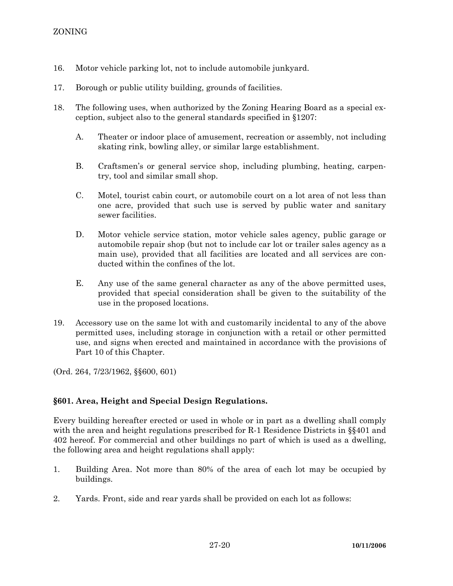- 16. Motor vehicle parking lot, not to include automobile junkyard.
- 17. Borough or public utility building, grounds of facilities.
- 18. The following uses, when authorized by the Zoning Hearing Board as a special exception, subject also to the general standards specified in §1207:
	- A. Theater or indoor place of amusement, recreation or assembly, not including skating rink, bowling alley, or similar large establishment.
	- B. Craftsmen's or general service shop, including plumbing, heating, carpentry, tool and similar small shop.
	- C. Motel, tourist cabin court, or automobile court on a lot area of not less than one acre, provided that such use is served by public water and sanitary sewer facilities.
	- D. Motor vehicle service station, motor vehicle sales agency, public garage or automobile repair shop (but not to include car lot or trailer sales agency as a main use), provided that all facilities are located and all services are conducted within the confines of the lot.
	- E. Any use of the same general character as any of the above permitted uses, provided that special consideration shall be given to the suitability of the use in the proposed locations.
- 19. Accessory use on the same lot with and customarily incidental to any of the above permitted uses, including storage in conjunction with a retail or other permitted use, and signs when erected and maintained in accordance with the provisions of Part 10 of this Chapter.

(Ord. 264, 7/23/1962, §§600, 601)

# **§601. Area, Height and Special Design Regulations.**

Every building hereafter erected or used in whole or in part as a dwelling shall comply with the area and height regulations prescribed for R-1 Residence Districts in §§401 and 402 hereof. For commercial and other buildings no part of which is used as a dwelling, the following area and height regulations shall apply:

- 1. Building Area. Not more than 80% of the area of each lot may be occupied by buildings.
- 2. Yards. Front, side and rear yards shall be provided on each lot as follows: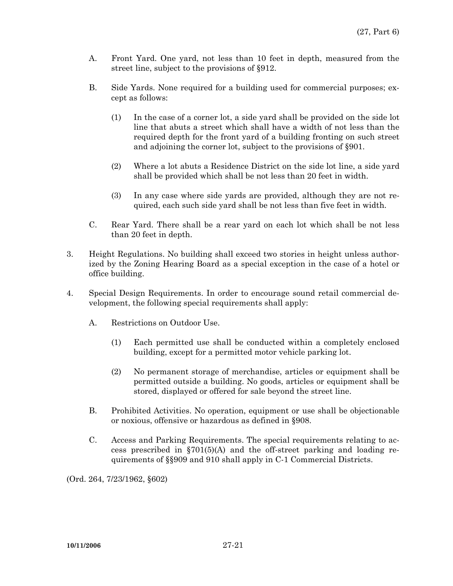- A. Front Yard. One yard, not less than 10 feet in depth, measured from the street line, subject to the provisions of §912.
- B. Side Yards. None required for a building used for commercial purposes; except as follows:
	- (1) In the case of a corner lot, a side yard shall be provided on the side lot line that abuts a street which shall have a width of not less than the required depth for the front yard of a building fronting on such street and adjoining the corner lot, subject to the provisions of §901.
	- (2) Where a lot abuts a Residence District on the side lot line, a side yard shall be provided which shall be not less than 20 feet in width.
	- (3) In any case where side yards are provided, although they are not required, each such side yard shall be not less than five feet in width.
- C. Rear Yard. There shall be a rear yard on each lot which shall be not less than 20 feet in depth.
- 3. Height Regulations. No building shall exceed two stories in height unless authorized by the Zoning Hearing Board as a special exception in the case of a hotel or office building.
- 4. Special Design Requirements. In order to encourage sound retail commercial development, the following special requirements shall apply:
	- A. Restrictions on Outdoor Use.
		- (1) Each permitted use shall be conducted within a completely enclosed building, except for a permitted motor vehicle parking lot.
		- (2) No permanent storage of merchandise, articles or equipment shall be permitted outside a building. No goods, articles or equipment shall be stored, displayed or offered for sale beyond the street line.
	- B. Prohibited Activities. No operation, equipment or use shall be objectionable or noxious, offensive or hazardous as defined in §908.
	- C. Access and Parking Requirements. The special requirements relating to access prescribed in  $\S701(5)(A)$  and the off-street parking and loading requirements of §§909 and 910 shall apply in C-1 Commercial Districts.

(Ord. 264, 7/23/1962, §602)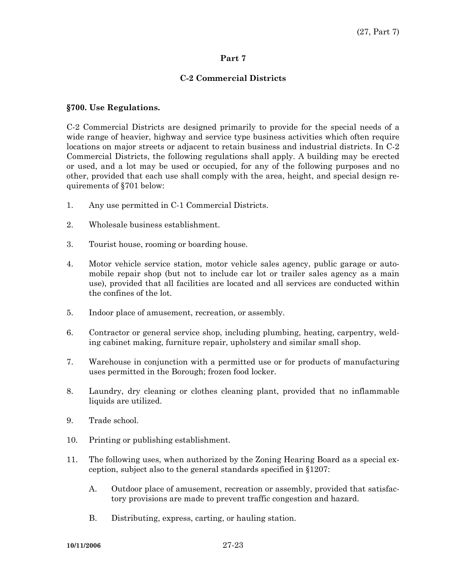# **C-2 Commercial Districts**

## **§700. Use Regulations.**

C-2 Commercial Districts are designed primarily to provide for the special needs of a wide range of heavier, highway and service type business activities which often require locations on major streets or adjacent to retain business and industrial districts. In C-2 Commercial Districts, the following regulations shall apply. A building may be erected or used, and a lot may be used or occupied, for any of the following purposes and no other, provided that each use shall comply with the area, height, and special design requirements of §701 below:

- 1. Any use permitted in C-1 Commercial Districts.
- 2. Wholesale business establishment.
- 3. Tourist house, rooming or boarding house.
- 4. Motor vehicle service station, motor vehicle sales agency, public garage or automobile repair shop (but not to include car lot or trailer sales agency as a main use), provided that all facilities are located and all services are conducted within the confines of the lot.
- 5. Indoor place of amusement, recreation, or assembly.
- 6. Contractor or general service shop, including plumbing, heating, carpentry, welding cabinet making, furniture repair, upholstery and similar small shop.
- 7. Warehouse in conjunction with a permitted use or for products of manufacturing uses permitted in the Borough; frozen food locker.
- 8. Laundry, dry cleaning or clothes cleaning plant, provided that no inflammable liquids are utilized.
- 9. Trade school.
- 10. Printing or publishing establishment.
- 11. The following uses, when authorized by the Zoning Hearing Board as a special exception, subject also to the general standards specified in §1207:
	- A. Outdoor place of amusement, recreation or assembly, provided that satisfactory provisions are made to prevent traffic congestion and hazard.
	- B. Distributing, express, carting, or hauling station.

**10/11/2006** 27-23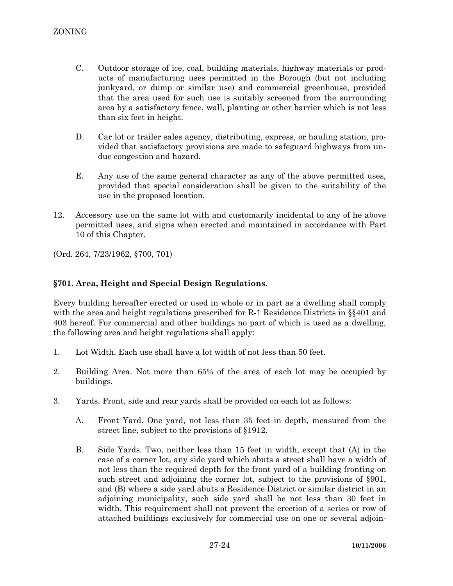- C. Outdoor storage of ice, coal, building materials, highway materials or products of manufacturing uses permitted in the Borough (but not including junkyard, or dump or similar use) and commercial greenhouse, provided that the area used for such use is suitably screened from the surrounding area by a satisfactory fence, wall, planting or other barrier which is not less than six feet in height.
- D. Car lot or trailer sales agency, distributing, express, or hauling station, provided that satisfactory provisions are made to safeguard highways from undue congestion and hazard.
- E. Any use of the same general character as any of the above permitted uses, provided that special consideration shall be given to the suitability of the use in the proposed location.
- 12. Accessory use on the same lot with and customarily incidental to any of he above permitted uses, and signs when erected and maintained in accordance with Part 10 of this Chapter.

(Ord. 264, 7/23/1962, §700, 701)

# **§701. Area, Height and Special Design Regulations.**

Every building hereafter erected or used in whole or in part as a dwelling shall comply with the area and height regulations prescribed for R-1 Residence Districts in §§401 and 403 hereof. For commercial and other buildings no part of which is used as a dwelling, the following area and height regulations shall apply:

- 1. Lot Width. Each use shall have a lot width of not less than 50 feet.
- 2. Building Area. Not more than 65% of the area of each lot may be occupied by buildings.
- 3. Yards. Front, side and rear yards shall be provided on each lot as follows:
	- A. Front Yard. One yard, not less than 35 feet in depth, measured from the street line, subject to the provisions of §1912.
	- B. Side Yards. Two, neither less than 15 feet in width, except that (A) in the case of a corner lot, any side yard which abuts a street shall have a width of not less than the required depth for the front yard of a building fronting on such street and adjoining the corner lot, subject to the provisions of §901, and (B) where a side yard abuts a Residence District or similar district in an adjoining municipality, such side yard shall be not less than 30 feet in width. This requirement shall not prevent the erection of a series or row of attached buildings exclusively for commercial use on one or several adjoin-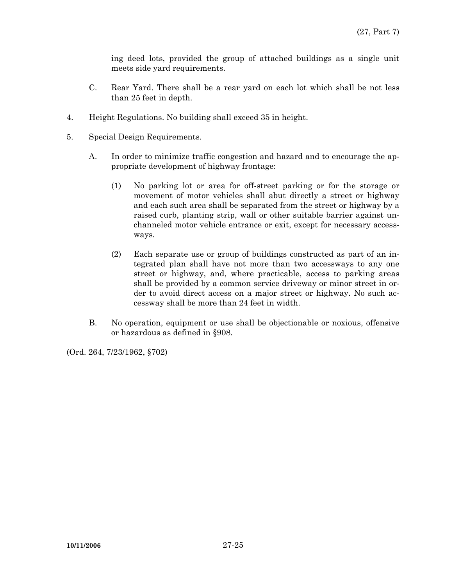ing deed lots, provided the group of attached buildings as a single unit meets side yard requirements.

- C. Rear Yard. There shall be a rear yard on each lot which shall be not less than 25 feet in depth.
- 4. Height Regulations. No building shall exceed 35 in height.
- 5. Special Design Requirements.
	- A. In order to minimize traffic congestion and hazard and to encourage the appropriate development of highway frontage:
		- (1) No parking lot or area for off-street parking or for the storage or movement of motor vehicles shall abut directly a street or highway and each such area shall be separated from the street or highway by a raised curb, planting strip, wall or other suitable barrier against unchanneled motor vehicle entrance or exit, except for necessary accessways.
		- (2) Each separate use or group of buildings constructed as part of an integrated plan shall have not more than two accessways to any one street or highway, and, where practicable, access to parking areas shall be provided by a common service driveway or minor street in order to avoid direct access on a major street or highway. No such accessway shall be more than 24 feet in width.
	- B. No operation, equipment or use shall be objectionable or noxious, offensive or hazardous as defined in §908.

(Ord. 264, 7/23/1962, §702)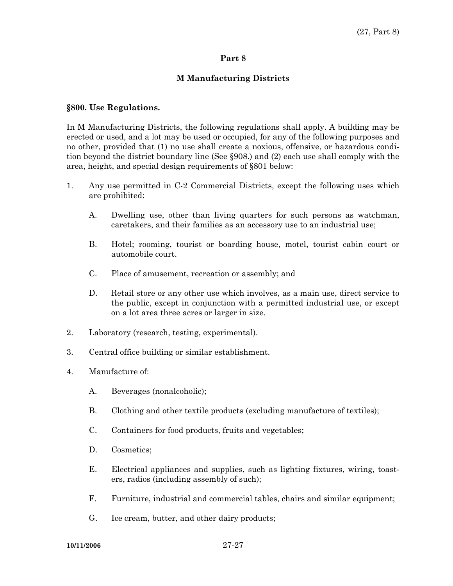#### **M Manufacturing Districts**

#### **§800. Use Regulations.**

In M Manufacturing Districts, the following regulations shall apply. A building may be erected or used, and a lot may be used or occupied, for any of the following purposes and no other, provided that (1) no use shall create a noxious, offensive, or hazardous condition beyond the district boundary line (See §908.) and (2) each use shall comply with the area, height, and special design requirements of §801 below:

- 1. Any use permitted in C-2 Commercial Districts, except the following uses which are prohibited:
	- A. Dwelling use, other than living quarters for such persons as watchman, caretakers, and their families as an accessory use to an industrial use;
	- B. Hotel; rooming, tourist or boarding house, motel, tourist cabin court or automobile court.
	- C. Place of amusement, recreation or assembly; and
	- D. Retail store or any other use which involves, as a main use, direct service to the public, except in conjunction with a permitted industrial use, or except on a lot area three acres or larger in size.
- 2. Laboratory (research, testing, experimental).
- 3. Central office building or similar establishment.
- 4. Manufacture of:
	- A. Beverages (nonalcoholic);
	- B. Clothing and other textile products (excluding manufacture of textiles);
	- C. Containers for food products, fruits and vegetables;
	- D. Cosmetics;
	- E. Electrical appliances and supplies, such as lighting fixtures, wiring, toasters, radios (including assembly of such);
	- F. Furniture, industrial and commercial tables, chairs and similar equipment;
	- G. Ice cream, butter, and other dairy products;

**10/11/2006** 27-27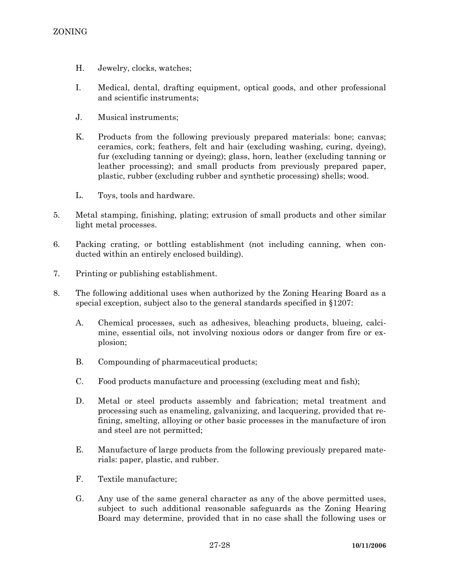- H. Jewelry, clocks, watches;
- I. Medical, dental, drafting equipment, optical goods, and other professional and scientific instruments;
- J. Musical instruments;
- K. Products from the following previously prepared materials: bone; canvas; ceramics, cork; feathers, felt and hair (excluding washing, curing, dyeing), fur (excluding tanning or dyeing); glass, horn, leather (excluding tanning or leather processing); and small products from previously prepared paper, plastic, rubber (excluding rubber and synthetic processing) shells; wood.
- L. Toys, tools and hardware.
- 5. Metal stamping, finishing, plating; extrusion of small products and other similar light metal processes.
- 6. Packing crating, or bottling establishment (not including canning, when conducted within an entirely enclosed building).
- 7. Printing or publishing establishment.
- 8. The following additional uses when authorized by the Zoning Hearing Board as a special exception, subject also to the general standards specified in §1207:
	- A. Chemical processes, such as adhesives, bleaching products, blueing, calcimine, essential oils, not involving noxious odors or danger from fire or explosion;
	- B. Compounding of pharmaceutical products;
	- C. Food products manufacture and processing (excluding meat and fish);
	- D. Metal or steel products assembly and fabrication; metal treatment and processing such as enameling, galvanizing, and lacquering, provided that refining, smelting, alloying or other basic processes in the manufacture of iron and steel are not permitted;
	- E. Manufacture of large products from the following previously prepared materials: paper, plastic, and rubber.
	- F. Textile manufacture;
	- G. Any use of the same general character as any of the above permitted uses, subject to such additional reasonable safeguards as the Zoning Hearing Board may determine, provided that in no case shall the following uses or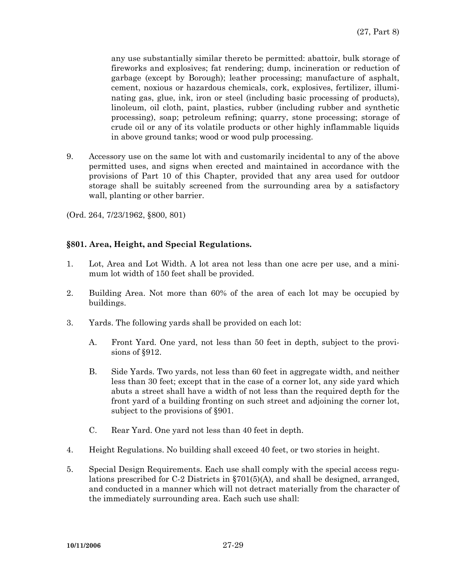any use substantially similar thereto be permitted: abattoir, bulk storage of fireworks and explosives; fat rendering; dump, incineration or reduction of garbage (except by Borough); leather processing; manufacture of asphalt, cement, noxious or hazardous chemicals, cork, explosives, fertilizer, illuminating gas, glue, ink, iron or steel (including basic processing of products), linoleum, oil cloth, paint, plastics, rubber (including rubber and synthetic processing), soap; petroleum refining; quarry, stone processing; storage of crude oil or any of its volatile products or other highly inflammable liquids in above ground tanks; wood or wood pulp processing.

9. Accessory use on the same lot with and customarily incidental to any of the above permitted uses, and signs when erected and maintained in accordance with the provisions of Part 10 of this Chapter, provided that any area used for outdoor storage shall be suitably screened from the surrounding area by a satisfactory wall, planting or other barrier.

(Ord. 264, 7/23/1962, §800, 801)

# **§801. Area, Height, and Special Regulations.**

- 1. Lot, Area and Lot Width. A lot area not less than one acre per use, and a minimum lot width of 150 feet shall be provided.
- 2. Building Area. Not more than 60% of the area of each lot may be occupied by buildings.
- 3. Yards. The following yards shall be provided on each lot:
	- A. Front Yard. One yard, not less than 50 feet in depth, subject to the provisions of §912.
	- B. Side Yards. Two yards, not less than 60 feet in aggregate width, and neither less than 30 feet; except that in the case of a corner lot, any side yard which abuts a street shall have a width of not less than the required depth for the front yard of a building fronting on such street and adjoining the corner lot, subject to the provisions of §901.
	- C. Rear Yard. One yard not less than 40 feet in depth.
- 4. Height Regulations. No building shall exceed 40 feet, or two stories in height.
- 5. Special Design Requirements. Each use shall comply with the special access regulations prescribed for C-2 Districts in §701(5)(A), and shall be designed, arranged, and conducted in a manner which will not detract materially from the character of the immediately surrounding area. Each such use shall: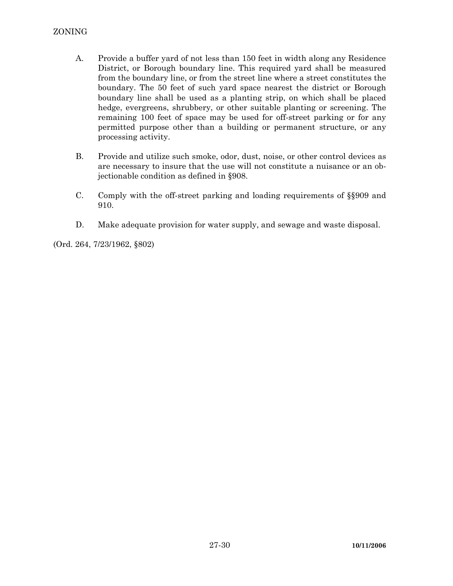- A. Provide a buffer yard of not less than 150 feet in width along any Residence District, or Borough boundary line. This required yard shall be measured from the boundary line, or from the street line where a street constitutes the boundary. The 50 feet of such yard space nearest the district or Borough boundary line shall be used as a planting strip, on which shall be placed hedge, evergreens, shrubbery, or other suitable planting or screening. The remaining 100 feet of space may be used for off-street parking or for any permitted purpose other than a building or permanent structure, or any processing activity.
- B. Provide and utilize such smoke, odor, dust, noise, or other control devices as are necessary to insure that the use will not constitute a nuisance or an objectionable condition as defined in §908.
- C. Comply with the off-street parking and loading requirements of §§909 and 910.
- D. Make adequate provision for water supply, and sewage and waste disposal.

(Ord. 264, 7/23/1962, §802)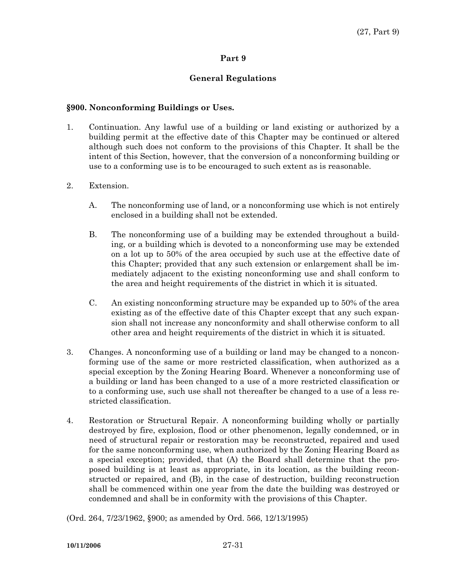# **General Regulations**

## **§900. Nonconforming Buildings or Uses.**

- 1. Continuation. Any lawful use of a building or land existing or authorized by a building permit at the effective date of this Chapter may be continued or altered although such does not conform to the provisions of this Chapter. It shall be the intent of this Section, however, that the conversion of a nonconforming building or use to a conforming use is to be encouraged to such extent as is reasonable.
- 2. Extension.
	- A. The nonconforming use of land, or a nonconforming use which is not entirely enclosed in a building shall not be extended.
	- B. The nonconforming use of a building may be extended throughout a building, or a building which is devoted to a nonconforming use may be extended on a lot up to 50% of the area occupied by such use at the effective date of this Chapter; provided that any such extension or enlargement shall be immediately adjacent to the existing nonconforming use and shall conform to the area and height requirements of the district in which it is situated.
	- C. An existing nonconforming structure may be expanded up to 50% of the area existing as of the effective date of this Chapter except that any such expansion shall not increase any nonconformity and shall otherwise conform to all other area and height requirements of the district in which it is situated.
- 3. Changes. A nonconforming use of a building or land may be changed to a nonconforming use of the same or more restricted classification, when authorized as a special exception by the Zoning Hearing Board. Whenever a nonconforming use of a building or land has been changed to a use of a more restricted classification or to a conforming use, such use shall not thereafter be changed to a use of a less restricted classification.
- 4. Restoration or Structural Repair. A nonconforming building wholly or partially destroyed by fire, explosion, flood or other phenomenon, legally condemned, or in need of structural repair or restoration may be reconstructed, repaired and used for the same nonconforming use, when authorized by the Zoning Hearing Board as a special exception; provided, that (A) the Board shall determine that the proposed building is at least as appropriate, in its location, as the building reconstructed or repaired, and (B), in the case of destruction, building reconstruction shall be commenced within one year from the date the building was destroyed or condemned and shall be in conformity with the provisions of this Chapter.

(Ord. 264, 7/23/1962, §900; as amended by Ord. 566, 12/13/1995)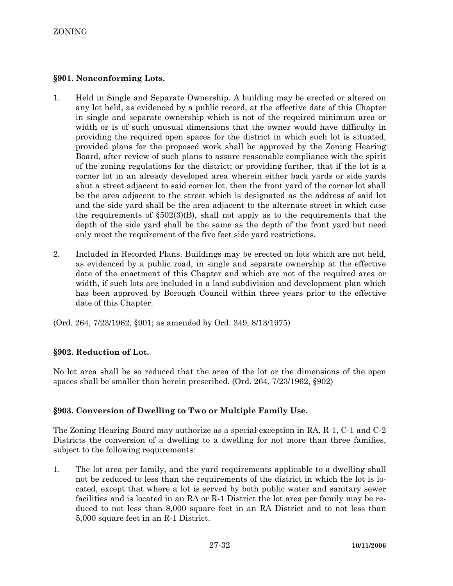# **§901. Nonconforming Lots.**

- 1. Held in Single and Separate Ownership. A building may be erected or altered on any lot held, as evidenced by a public record, at the effective date of this Chapter in single and separate ownership which is not of the required minimum area or width or is of such unusual dimensions that the owner would have difficulty in providing the required open spaces for the district in which such lot is situated, provided plans for the proposed work shall be approved by the Zoning Hearing Board, after review of such plans to assure reasonable compliance with the spirit of the zoning regulations for the district; or providing further, that if the lot is a corner lot in an already developed area wherein either back yards or side yards abut a street adjacent to said corner lot, then the front yard of the corner lot shall be the area adjacent to the street which is designated as the address of said lot and the side yard shall be the area adjacent to the alternate street in which case the requirements of  $\S502(3)(B)$ , shall not apply as to the requirements that the depth of the side yard shall be the same as the depth of the front yard but need only meet the requirement of the five feet side yard restrictions.
- 2. Included in Recorded Plans. Buildings may be erected on lots which are not held, as evidenced by a public road, in single and separate ownership at the effective date of the enactment of this Chapter and which are not of the required area or width, if such lots are included in a land subdivision and development plan which has been approved by Borough Council within three years prior to the effective date of this Chapter.

(Ord. 264, 7/23/1962, §901; as amended by Ord. 349, 8/13/1975)

# **§902. Reduction of Lot.**

No lot area shall be so reduced that the area of the lot or the dimensions of the open spaces shall be smaller than herein prescribed. (Ord. 264, 7/23/1962, §902)

# **§903. Conversion of Dwelling to Two or Multiple Family Use.**

The Zoning Hearing Board may authorize as a special exception in RA, R-1, C-1 and C-2 Districts the conversion of a dwelling to a dwelling for not more than three families, subject to the following requirements:

1. The lot area per family, and the yard requirements applicable to a dwelling shall not be reduced to less than the requirements of the district in which the lot is located, except that where a lot is served by both public water and sanitary sewer facilities and is located in an RA or R-1 District the lot area per family may be reduced to not less than 8,000 square feet in an RA District and to not less than 5,000 square feet in an R-1 District.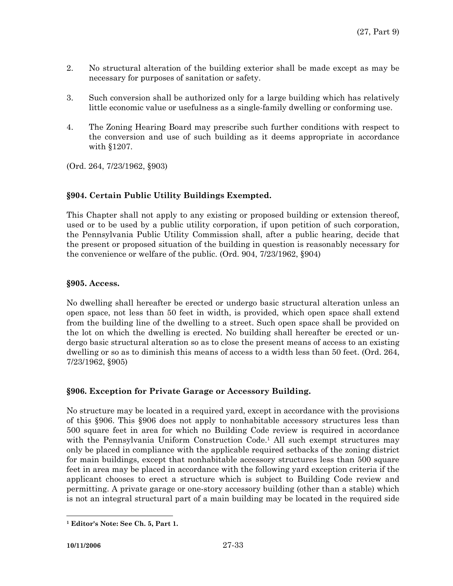- 2. No structural alteration of the building exterior shall be made except as may be necessary for purposes of sanitation or safety.
- 3. Such conversion shall be authorized only for a large building which has relatively little economic value or usefulness as a single-family dwelling or conforming use.
- 4. The Zoning Hearing Board may prescribe such further conditions with respect to the conversion and use of such building as it deems appropriate in accordance with §1207.

(Ord. 264, 7/23/1962, §903)

# **§904. Certain Public Utility Buildings Exempted.**

This Chapter shall not apply to any existing or proposed building or extension thereof, used or to be used by a public utility corporation, if upon petition of such corporation, the Pennsylvania Public Utility Commission shall, after a public hearing, decide that the present or proposed situation of the building in question is reasonably necessary for the convenience or welfare of the public. (Ord. 904, 7/23/1962, §904)

# **§905. Access.**

No dwelling shall hereafter be erected or undergo basic structural alteration unless an open space, not less than 50 feet in width, is provided, which open space shall extend from the building line of the dwelling to a street. Such open space shall be provided on the lot on which the dwelling is erected. No building shall hereafter be erected or undergo basic structural alteration so as to close the present means of access to an existing dwelling or so as to diminish this means of access to a width less than 50 feet. (Ord. 264, 7/23/1962, §905)

# **§906. Exception for Private Garage or Accessory Building.**

No structure may be located in a required yard, except in accordance with the provisions of this §906. This §906 does not apply to nonhabitable accessory structures less than 500 square feet in area for which no Building Code review is required in accordance with the Pennsylvania Uniform Construction Code.<sup>1</sup> All such exempt structures may only be placed in compliance with the applicable required setbacks of the zoning district for main buildings, except that nonhabitable accessory structures less than 500 square feet in area may be placed in accordance with the following yard exception criteria if the applicant chooses to erect a structure which is subject to Building Code review and permitting. A private garage or one-story accessory building (other than a stable) which is not an integral structural part of a main building may be located in the required side

 $\overline{a}$ 

**<sup>1</sup> Editor's Note: See Ch. 5, Part 1.**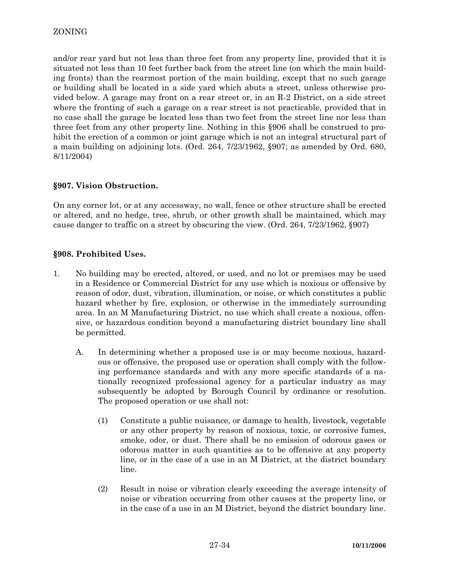and/or rear yard but not less than three feet from any property line, provided that it is situated not less than 10 feet further back from the street line (on which the main building fronts) than the rearmost portion of the main building, except that no such garage or building shall be located in a side yard which abuts a street, unless otherwise provided below. A garage may front on a rear street or, in an R-2 District, on a side street where the fronting of such a garage on a rear street is not practicable, provided that in no case shall the garage be located less than two feet from the street line nor less than three feet from any other property line. Nothing in this §906 shall be construed to prohibit the erection of a common or joint garage which is not an integral structural part of a main building on adjoining lots. (Ord. 264, 7/23/1962, §907; as amended by Ord. 680, 8/11/2004)

# **§907. Vision Obstruction.**

On any corner lot, or at any accessway, no wall, fence or other structure shall be erected or altered, and no hedge, tree, shrub, or other growth shall be maintained, which may cause danger to traffic on a street by obscuring the view. (Ord. 264, 7/23/1962, §907)

# **§908. Prohibited Uses.**

- 1. No building may be erected, altered, or used, and no lot or premises may be used in a Residence or Commercial District for any use which is noxious or offensive by reason of odor, dust, vibration, illumination, or noise, or which constitutes a public hazard whether by fire, explosion, or otherwise in the immediately surrounding area. In an M Manufacturing District, no use which shall create a noxious, offensive, or hazardous condition beyond a manufacturing district boundary line shall be permitted.
	- A. In determining whether a proposed use is or may become noxious, hazardous or offensive, the proposed use or operation shall comply with the following performance standards and with any more specific standards of a nationally recognized professional agency for a particular industry as may subsequently be adopted by Borough Council by ordinance or resolution. The proposed operation or use shall not:
		- (1) Constitute a public nuisance, or damage to health, livestock, vegetable or any other property by reason of noxious, toxic, or corrosive fumes, smoke, odor, or dust. There shall be no emission of odorous gases or odorous matter in such quantities as to be offensive at any property line, or in the case of a use in an M District, at the district boundary line.
		- (2) Result in noise or vibration clearly exceeding the average intensity of noise or vibration occurring from other causes at the property line, or in the case of a use in an M District, beyond the district boundary line.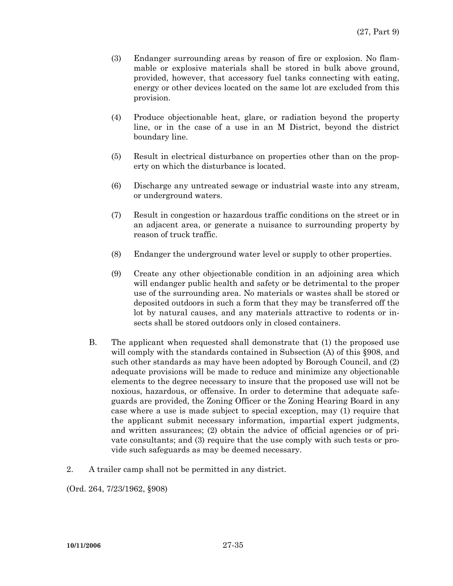- (3) Endanger surrounding areas by reason of fire or explosion. No flammable or explosive materials shall be stored in bulk above ground, provided, however, that accessory fuel tanks connecting with eating, energy or other devices located on the same lot are excluded from this provision.
- (4) Produce objectionable heat, glare, or radiation beyond the property line, or in the case of a use in an M District, beyond the district boundary line.
- (5) Result in electrical disturbance on properties other than on the property on which the disturbance is located.
- (6) Discharge any untreated sewage or industrial waste into any stream, or underground waters.
- (7) Result in congestion or hazardous traffic conditions on the street or in an adjacent area, or generate a nuisance to surrounding property by reason of truck traffic.
- (8) Endanger the underground water level or supply to other properties.
- (9) Create any other objectionable condition in an adjoining area which will endanger public health and safety or be detrimental to the proper use of the surrounding area. No materials or wastes shall be stored or deposited outdoors in such a form that they may be transferred off the lot by natural causes, and any materials attractive to rodents or insects shall be stored outdoors only in closed containers.
- B. The applicant when requested shall demonstrate that (1) the proposed use will comply with the standards contained in Subsection (A) of this §908, and such other standards as may have been adopted by Borough Council, and (2) adequate provisions will be made to reduce and minimize any objectionable elements to the degree necessary to insure that the proposed use will not be noxious, hazardous, or offensive. In order to determine that adequate safeguards are provided, the Zoning Officer or the Zoning Hearing Board in any case where a use is made subject to special exception, may (1) require that the applicant submit necessary information, impartial expert judgments, and written assurances; (2) obtain the advice of official agencies or of private consultants; and (3) require that the use comply with such tests or provide such safeguards as may be deemed necessary.
- 2. A trailer camp shall not be permitted in any district.

(Ord. 264, 7/23/1962, §908)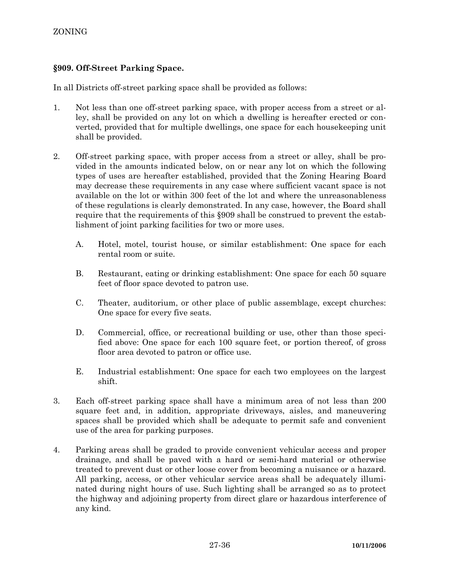# **§909. Off-Street Parking Space.**

In all Districts off-street parking space shall be provided as follows:

- 1. Not less than one off-street parking space, with proper access from a street or alley, shall be provided on any lot on which a dwelling is hereafter erected or converted, provided that for multiple dwellings, one space for each housekeeping unit shall be provided.
- 2. Off-street parking space, with proper access from a street or alley, shall be provided in the amounts indicated below, on or near any lot on which the following types of uses are hereafter established, provided that the Zoning Hearing Board may decrease these requirements in any case where sufficient vacant space is not available on the lot or within 300 feet of the lot and where the unreasonableness of these regulations is clearly demonstrated. In any case, however, the Board shall require that the requirements of this §909 shall be construed to prevent the establishment of joint parking facilities for two or more uses.
	- A. Hotel, motel, tourist house, or similar establishment: One space for each rental room or suite.
	- B. Restaurant, eating or drinking establishment: One space for each 50 square feet of floor space devoted to patron use.
	- C. Theater, auditorium, or other place of public assemblage, except churches: One space for every five seats.
	- D. Commercial, office, or recreational building or use, other than those specified above: One space for each 100 square feet, or portion thereof, of gross floor area devoted to patron or office use.
	- E. Industrial establishment: One space for each two employees on the largest shift.
- 3. Each off-street parking space shall have a minimum area of not less than 200 square feet and, in addition, appropriate driveways, aisles, and maneuvering spaces shall be provided which shall be adequate to permit safe and convenient use of the area for parking purposes.
- 4. Parking areas shall be graded to provide convenient vehicular access and proper drainage, and shall be paved with a hard or semi-hard material or otherwise treated to prevent dust or other loose cover from becoming a nuisance or a hazard. All parking, access, or other vehicular service areas shall be adequately illuminated during night hours of use. Such lighting shall be arranged so as to protect the highway and adjoining property from direct glare or hazardous interference of any kind.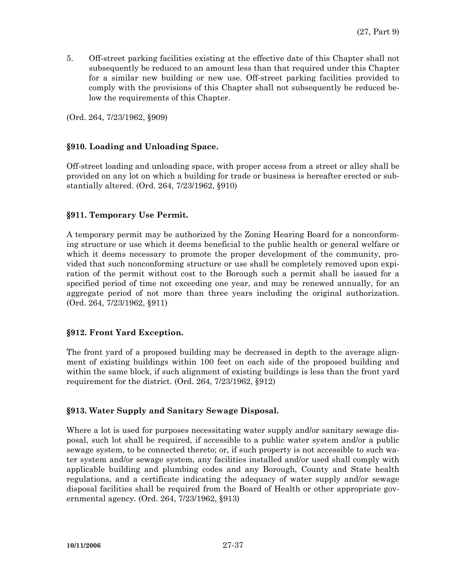5. Off-street parking facilities existing at the effective date of this Chapter shall not subsequently be reduced to an amount less than that required under this Chapter for a similar new building or new use. Off-street parking facilities provided to comply with the provisions of this Chapter shall not subsequently be reduced below the requirements of this Chapter.

(Ord. 264, 7/23/1962, §909)

### **§910. Loading and Unloading Space.**

Off-street loading and unloading space, with proper access from a street or alley shall be provided on any lot on which a building for trade or business is hereafter erected or substantially altered. (Ord. 264, 7/23/1962, §910)

## **§911. Temporary Use Permit.**

A temporary permit may be authorized by the Zoning Hearing Board for a nonconforming structure or use which it deems beneficial to the public health or general welfare or which it deems necessary to promote the proper development of the community, provided that such nonconforming structure or use shall be completely removed upon expiration of the permit without cost to the Borough such a permit shall be issued for a specified period of time not exceeding one year, and may be renewed annually, for an aggregate period of not more than three years including the original authorization. (Ord. 264, 7/23/1962, §911)

## **§912. Front Yard Exception.**

The front yard of a proposed building may be decreased in depth to the average alignment of existing buildings within 100 feet on each side of the proposed building and within the same block, if such alignment of existing buildings is less than the front yard requirement for the district. (Ord. 264, 7/23/1962, §912)

## **§913. Water Supply and Sanitary Sewage Disposal.**

Where a lot is used for purposes necessitating water supply and/or sanitary sewage disposal, such lot shall be required, if accessible to a public water system and/or a public sewage system, to be connected thereto; or, if such property is not accessible to such water system and/or sewage system, any facilities installed and/or used shall comply with applicable building and plumbing codes and any Borough, County and State health regulations, and a certificate indicating the adequacy of water supply and/or sewage disposal facilities shall be required from the Board of Health or other appropriate governmental agency. (Ord. 264, 7/23/1962, §913)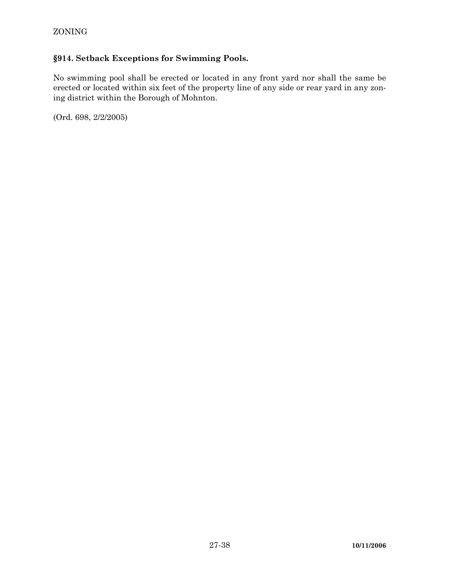# **§914. Setback Exceptions for Swimming Pools.**

No swimming pool shall be erected or located in any front yard nor shall the same be erected or located within six feet of the property line of any side or rear yard in any zoning district within the Borough of Mohnton.

(Ord. 698, 2/2/2005)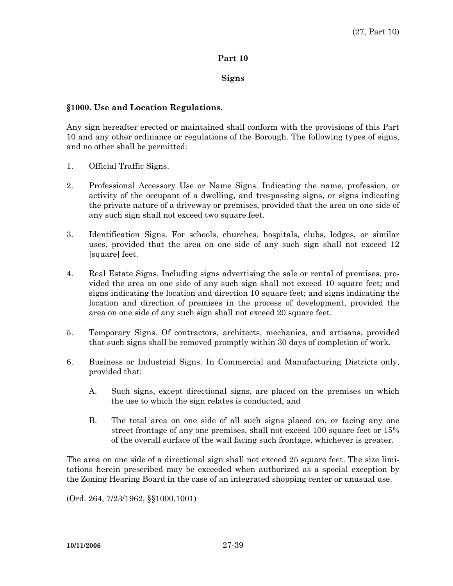### **Part 10**

### **Signs**

### **§1000. Use and Location Regulations.**

Any sign hereafter erected or maintained shall conform with the provisions of this Part 10 and any other ordinance or regulations of the Borough. The following types of signs, and no other shall be permitted:

- 1. Official Traffic Signs.
- 2. Professional Accessory Use or Name Signs. Indicating the name, profession, or activity of the occupant of a dwelling, and trespassing signs, or signs indicating the private nature of a driveway or premises, provided that the area on one side of any such sign shall not exceed two square feet.
- 3. Identification Signs. For schools, churches, hospitals, clubs, lodges, or similar uses, provided that the area on one side of any such sign shall not exceed 12 [square] feet.
- 4. Real Estate Signs. Including signs advertising the sale or rental of premises, provided the area on one side of any such sign shall not exceed 10 square feet; and signs indicating the location and direction 10 square feet; and signs indicating the location and direction of premises in the process of development, provided the area on one side of any such sign shall not exceed 20 square feet.
- 5. Temporary Signs. Of contractors, architects, mechanics, and artisans, provided that such signs shall be removed promptly within 30 days of completion of work.
- 6. Business or Industrial Signs. In Commercial and Manufacturing Districts only, provided that:
	- A. Such signs, except directional signs, are placed on the premises on which the use to which the sign relates is conducted, and
	- B. The total area on one side of all such signs placed on, or facing any one street frontage of any one premises, shall not exceed 100 square feet or 15% of the overall surface of the wall facing such frontage, whichever is greater.

The area on one side of a directional sign shall not exceed 25 square feet. The size limitations herein prescribed may be exceeded when authorized as a special exception by the Zoning Hearing Board in the case of an integrated shopping center or unusual use.

(Ord. 264, 7/23/1962, §§1000,1001)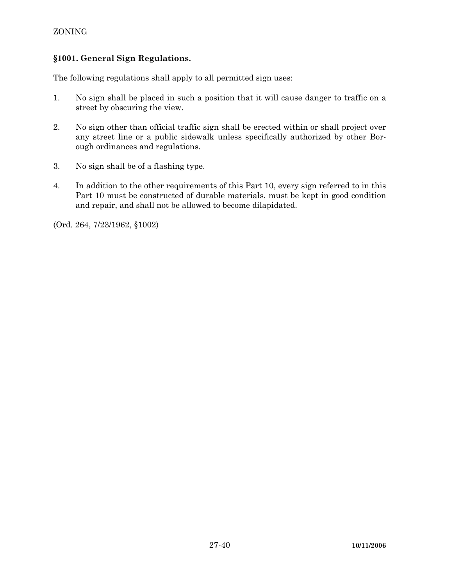## ZONING

## **§1001. General Sign Regulations.**

The following regulations shall apply to all permitted sign uses:

- 1. No sign shall be placed in such a position that it will cause danger to traffic on a street by obscuring the view.
- 2. No sign other than official traffic sign shall be erected within or shall project over any street line or a public sidewalk unless specifically authorized by other Borough ordinances and regulations.
- 3. No sign shall be of a flashing type.
- 4. In addition to the other requirements of this Part 10, every sign referred to in this Part 10 must be constructed of durable materials, must be kept in good condition and repair, and shall not be allowed to become dilapidated.

(Ord. 264, 7/23/1962, §1002)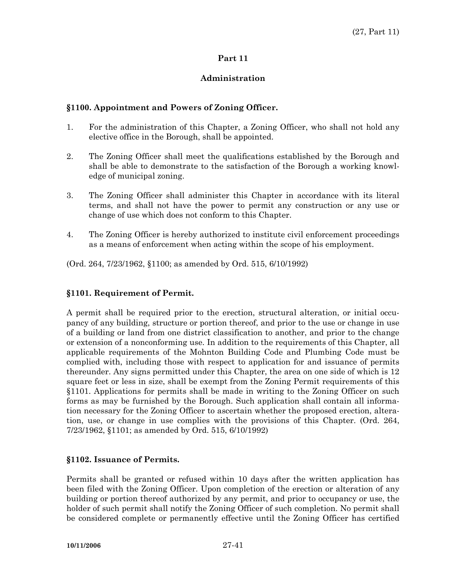## **Part 11**

## **Administration**

## **§1100. Appointment and Powers of Zoning Officer.**

- 1. For the administration of this Chapter, a Zoning Officer, who shall not hold any elective office in the Borough, shall be appointed.
- 2. The Zoning Officer shall meet the qualifications established by the Borough and shall be able to demonstrate to the satisfaction of the Borough a working knowledge of municipal zoning.
- 3. The Zoning Officer shall administer this Chapter in accordance with its literal terms, and shall not have the power to permit any construction or any use or change of use which does not conform to this Chapter.
- 4. The Zoning Officer is hereby authorized to institute civil enforcement proceedings as a means of enforcement when acting within the scope of his employment.

(Ord. 264, 7/23/1962, §1100; as amended by Ord. 515, 6/10/1992)

## **§1101. Requirement of Permit.**

A permit shall be required prior to the erection, structural alteration, or initial occupancy of any building, structure or portion thereof, and prior to the use or change in use of a building or land from one district classification to another, and prior to the change or extension of a nonconforming use. In addition to the requirements of this Chapter, all applicable requirements of the Mohnton Building Code and Plumbing Code must be complied with, including those with respect to application for and issuance of permits thereunder. Any signs permitted under this Chapter, the area on one side of which is 12 square feet or less in size, shall be exempt from the Zoning Permit requirements of this §1101. Applications for permits shall be made in writing to the Zoning Officer on such forms as may be furnished by the Borough. Such application shall contain all information necessary for the Zoning Officer to ascertain whether the proposed erection, alteration, use, or change in use complies with the provisions of this Chapter. (Ord. 264, 7/23/1962, §1101; as amended by Ord. 515, 6/10/1992)

## **§1102. Issuance of Permits.**

Permits shall be granted or refused within 10 days after the written application has been filed with the Zoning Officer. Upon completion of the erection or alteration of any building or portion thereof authorized by any permit, and prior to occupancy or use, the holder of such permit shall notify the Zoning Officer of such completion. No permit shall be considered complete or permanently effective until the Zoning Officer has certified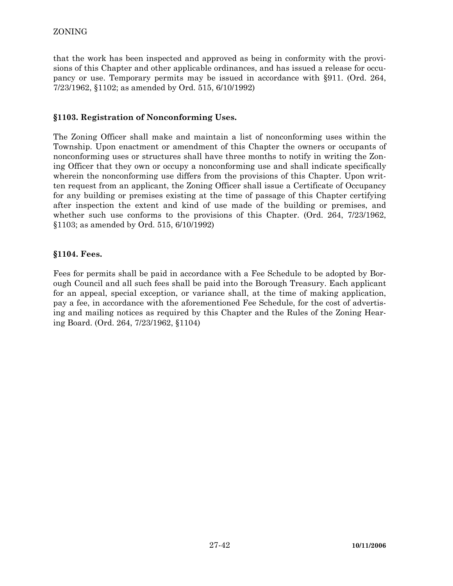that the work has been inspected and approved as being in conformity with the provisions of this Chapter and other applicable ordinances, and has issued a release for occupancy or use. Temporary permits may be issued in accordance with §911. (Ord. 264, 7/23/1962, §1102; as amended by Ord. 515, 6/10/1992)

## **§1103. Registration of Nonconforming Uses.**

The Zoning Officer shall make and maintain a list of nonconforming uses within the Township. Upon enactment or amendment of this Chapter the owners or occupants of nonconforming uses or structures shall have three months to notify in writing the Zoning Officer that they own or occupy a nonconforming use and shall indicate specifically wherein the nonconforming use differs from the provisions of this Chapter. Upon written request from an applicant, the Zoning Officer shall issue a Certificate of Occupancy for any building or premises existing at the time of passage of this Chapter certifying after inspection the extent and kind of use made of the building or premises, and whether such use conforms to the provisions of this Chapter. (Ord. 264, 7/23/1962, §1103; as amended by Ord. 515, 6/10/1992)

## **§1104. Fees.**

Fees for permits shall be paid in accordance with a Fee Schedule to be adopted by Borough Council and all such fees shall be paid into the Borough Treasury. Each applicant for an appeal, special exception, or variance shall, at the time of making application, pay a fee, in accordance with the aforementioned Fee Schedule, for the cost of advertising and mailing notices as required by this Chapter and the Rules of the Zoning Hearing Board. (Ord. 264, 7/23/1962, §1104)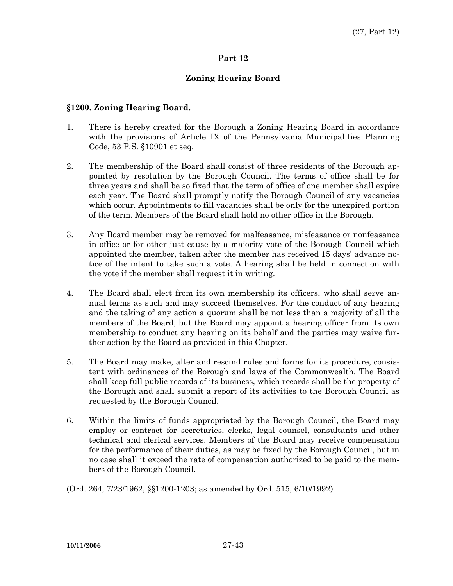### **Part 12**

## **Zoning Hearing Board**

#### **§1200. Zoning Hearing Board.**

- 1. There is hereby created for the Borough a Zoning Hearing Board in accordance with the provisions of Article IX of the Pennsylvania Municipalities Planning Code, 53 P.S. §10901 et seq.
- 2. The membership of the Board shall consist of three residents of the Borough appointed by resolution by the Borough Council. The terms of office shall be for three years and shall be so fixed that the term of office of one member shall expire each year. The Board shall promptly notify the Borough Council of any vacancies which occur. Appointments to fill vacancies shall be only for the unexpired portion of the term. Members of the Board shall hold no other office in the Borough.
- 3. Any Board member may be removed for malfeasance, misfeasance or nonfeasance in office or for other just cause by a majority vote of the Borough Council which appointed the member, taken after the member has received 15 days' advance notice of the intent to take such a vote. A hearing shall be held in connection with the vote if the member shall request it in writing.
- 4. The Board shall elect from its own membership its officers, who shall serve annual terms as such and may succeed themselves. For the conduct of any hearing and the taking of any action a quorum shall be not less than a majority of all the members of the Board, but the Board may appoint a hearing officer from its own membership to conduct any hearing on its behalf and the parties may waive further action by the Board as provided in this Chapter.
- 5. The Board may make, alter and rescind rules and forms for its procedure, consistent with ordinances of the Borough and laws of the Commonwealth. The Board shall keep full public records of its business, which records shall be the property of the Borough and shall submit a report of its activities to the Borough Council as requested by the Borough Council.
- 6. Within the limits of funds appropriated by the Borough Council, the Board may employ or contract for secretaries, clerks, legal counsel, consultants and other technical and clerical services. Members of the Board may receive compensation for the performance of their duties, as may be fixed by the Borough Council, but in no case shall it exceed the rate of compensation authorized to be paid to the members of the Borough Council.
- (Ord. 264, 7/23/1962, §§1200-1203; as amended by Ord. 515, 6/10/1992)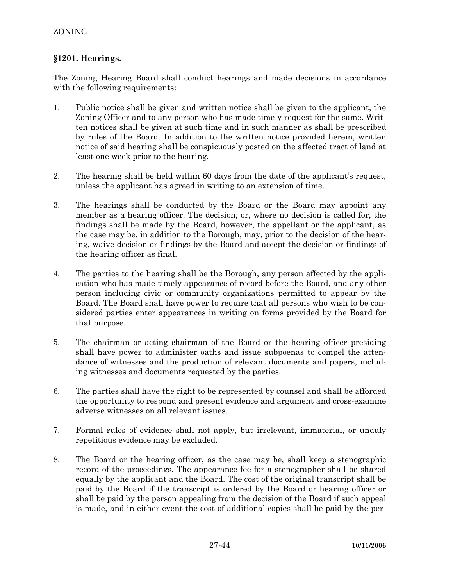## **§1201. Hearings.**

The Zoning Hearing Board shall conduct hearings and made decisions in accordance with the following requirements:

- 1. Public notice shall be given and written notice shall be given to the applicant, the Zoning Officer and to any person who has made timely request for the same. Written notices shall be given at such time and in such manner as shall be prescribed by rules of the Board. In addition to the written notice provided herein, written notice of said hearing shall be conspicuously posted on the affected tract of land at least one week prior to the hearing.
- 2. The hearing shall be held within 60 days from the date of the applicant's request, unless the applicant has agreed in writing to an extension of time.
- 3. The hearings shall be conducted by the Board or the Board may appoint any member as a hearing officer. The decision, or, where no decision is called for, the findings shall be made by the Board, however, the appellant or the applicant, as the case may be, in addition to the Borough, may, prior to the decision of the hearing, waive decision or findings by the Board and accept the decision or findings of the hearing officer as final.
- 4. The parties to the hearing shall be the Borough, any person affected by the application who has made timely appearance of record before the Board, and any other person including civic or community organizations permitted to appear by the Board. The Board shall have power to require that all persons who wish to be considered parties enter appearances in writing on forms provided by the Board for that purpose.
- 5. The chairman or acting chairman of the Board or the hearing officer presiding shall have power to administer oaths and issue subpoenas to compel the attendance of witnesses and the production of relevant documents and papers, including witnesses and documents requested by the parties.
- 6. The parties shall have the right to be represented by counsel and shall be afforded the opportunity to respond and present evidence and argument and cross-examine adverse witnesses on all relevant issues.
- 7. Formal rules of evidence shall not apply, but irrelevant, immaterial, or unduly repetitious evidence may be excluded.
- 8. The Board or the hearing officer, as the case may be, shall keep a stenographic record of the proceedings. The appearance fee for a stenographer shall be shared equally by the applicant and the Board. The cost of the original transcript shall be paid by the Board if the transcript is ordered by the Board or hearing officer or shall be paid by the person appealing from the decision of the Board if such appeal is made, and in either event the cost of additional copies shall be paid by the per-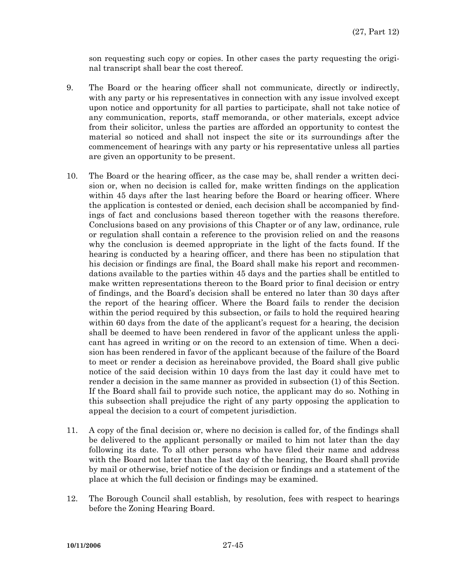son requesting such copy or copies. In other cases the party requesting the original transcript shall bear the cost thereof.

- 9. The Board or the hearing officer shall not communicate, directly or indirectly, with any party or his representatives in connection with any issue involved except upon notice and opportunity for all parties to participate, shall not take notice of any communication, reports, staff memoranda, or other materials, except advice from their solicitor, unless the parties are afforded an opportunity to contest the material so noticed and shall not inspect the site or its surroundings after the commencement of hearings with any party or his representative unless all parties are given an opportunity to be present.
- 10. The Board or the hearing officer, as the case may be, shall render a written decision or, when no decision is called for, make written findings on the application within 45 days after the last hearing before the Board or hearing officer. Where the application is contested or denied, each decision shall be accompanied by findings of fact and conclusions based thereon together with the reasons therefore. Conclusions based on any provisions of this Chapter or of any law, ordinance, rule or regulation shall contain a reference to the provision relied on and the reasons why the conclusion is deemed appropriate in the light of the facts found. If the hearing is conducted by a hearing officer, and there has been no stipulation that his decision or findings are final, the Board shall make his report and recommendations available to the parties within 45 days and the parties shall be entitled to make written representations thereon to the Board prior to final decision or entry of findings, and the Board's decision shall be entered no later than 30 days after the report of the hearing officer. Where the Board fails to render the decision within the period required by this subsection, or fails to hold the required hearing within 60 days from the date of the applicant's request for a hearing, the decision shall be deemed to have been rendered in favor of the applicant unless the applicant has agreed in writing or on the record to an extension of time. When a decision has been rendered in favor of the applicant because of the failure of the Board to meet or render a decision as hereinabove provided, the Board shall give public notice of the said decision within 10 days from the last day it could have met to render a decision in the same manner as provided in subsection (1) of this Section. If the Board shall fail to provide such notice, the applicant may do so. Nothing in this subsection shall prejudice the right of any party opposing the application to appeal the decision to a court of competent jurisdiction.
- 11. A copy of the final decision or, where no decision is called for, of the findings shall be delivered to the applicant personally or mailed to him not later than the day following its date. To all other persons who have filed their name and address with the Board not later than the last day of the hearing, the Board shall provide by mail or otherwise, brief notice of the decision or findings and a statement of the place at which the full decision or findings may be examined.
- 12. The Borough Council shall establish, by resolution, fees with respect to hearings before the Zoning Hearing Board.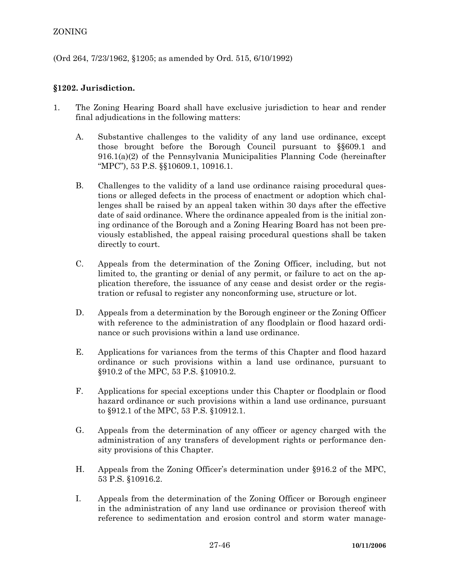## ZONING

(Ord 264, 7/23/1962, §1205; as amended by Ord. 515, 6/10/1992)

## **§1202. Jurisdiction.**

- 1. The Zoning Hearing Board shall have exclusive jurisdiction to hear and render final adjudications in the following matters:
	- A. Substantive challenges to the validity of any land use ordinance, except those brought before the Borough Council pursuant to §§609.1 and 916.1(a)(2) of the Pennsylvania Municipalities Planning Code (hereinafter "MPC"), 53 P.S. §§10609.1, 10916.1.
	- B. Challenges to the validity of a land use ordinance raising procedural questions or alleged defects in the process of enactment or adoption which challenges shall be raised by an appeal taken within 30 days after the effective date of said ordinance. Where the ordinance appealed from is the initial zoning ordinance of the Borough and a Zoning Hearing Board has not been previously established, the appeal raising procedural questions shall be taken directly to court.
	- C. Appeals from the determination of the Zoning Officer, including, but not limited to, the granting or denial of any permit, or failure to act on the application therefore, the issuance of any cease and desist order or the registration or refusal to register any nonconforming use, structure or lot.
	- D. Appeals from a determination by the Borough engineer or the Zoning Officer with reference to the administration of any floodplain or flood hazard ordinance or such provisions within a land use ordinance.
	- E. Applications for variances from the terms of this Chapter and flood hazard ordinance or such provisions within a land use ordinance, pursuant to §910.2 of the MPC, 53 P.S. §10910.2.
	- F. Applications for special exceptions under this Chapter or floodplain or flood hazard ordinance or such provisions within a land use ordinance, pursuant to §912.1 of the MPC, 53 P.S. §10912.1.
	- G. Appeals from the determination of any officer or agency charged with the administration of any transfers of development rights or performance density provisions of this Chapter.
	- H. Appeals from the Zoning Officer's determination under §916.2 of the MPC, 53 P.S. §10916.2.
	- I. Appeals from the determination of the Zoning Officer or Borough engineer in the administration of any land use ordinance or provision thereof with reference to sedimentation and erosion control and storm water manage-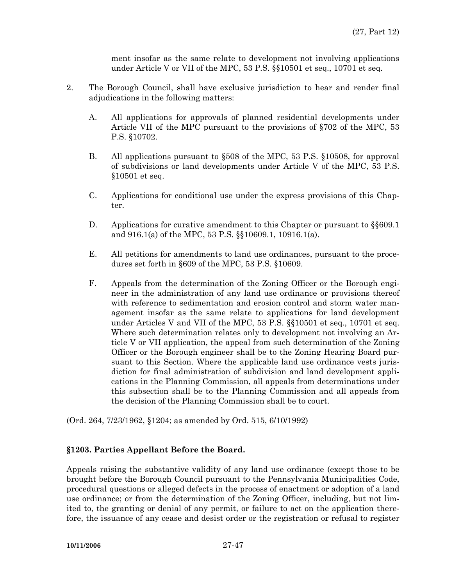ment insofar as the same relate to development not involving applications under Article V or VII of the MPC, 53 P.S. §§10501 et seq., 10701 et seq.

- 2. The Borough Council, shall have exclusive jurisdiction to hear and render final adjudications in the following matters:
	- A. All applications for approvals of planned residential developments under Article VII of the MPC pursuant to the provisions of §702 of the MPC, 53 P.S. §10702.
	- B. All applications pursuant to §508 of the MPC, 53 P.S. §10508, for approval of subdivisions or land developments under Article V of the MPC, 53 P.S. §10501 et seq.
	- C. Applications for conditional use under the express provisions of this Chapter.
	- D. Applications for curative amendment to this Chapter or pursuant to §§609.1 and 916.1(a) of the MPC, 53 P.S. §§10609.1, 10916.1(a).
	- E. All petitions for amendments to land use ordinances, pursuant to the procedures set forth in §609 of the MPC, 53 P.S. §10609.
	- F. Appeals from the determination of the Zoning Officer or the Borough engineer in the administration of any land use ordinance or provisions thereof with reference to sedimentation and erosion control and storm water management insofar as the same relate to applications for land development under Articles V and VII of the MPC, 53 P.S. §§10501 et seq., 10701 et seq. Where such determination relates only to development not involving an Article V or VII application, the appeal from such determination of the Zoning Officer or the Borough engineer shall be to the Zoning Hearing Board pursuant to this Section. Where the applicable land use ordinance vests jurisdiction for final administration of subdivision and land development applications in the Planning Commission, all appeals from determinations under this subsection shall be to the Planning Commission and all appeals from the decision of the Planning Commission shall be to court.

(Ord. 264, 7/23/1962, §1204; as amended by Ord. 515, 6/10/1992)

#### **§1203. Parties Appellant Before the Board.**

Appeals raising the substantive validity of any land use ordinance (except those to be brought before the Borough Council pursuant to the Pennsylvania Municipalities Code, procedural questions or alleged defects in the process of enactment or adoption of a land use ordinance; or from the determination of the Zoning Officer, including, but not limited to, the granting or denial of any permit, or failure to act on the application therefore, the issuance of any cease and desist order or the registration or refusal to register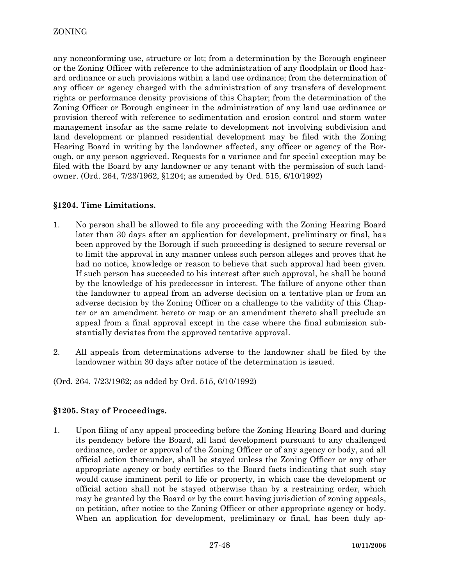any nonconforming use, structure or lot; from a determination by the Borough engineer or the Zoning Officer with reference to the administration of any floodplain or flood hazard ordinance or such provisions within a land use ordinance; from the determination of any officer or agency charged with the administration of any transfers of development rights or performance density provisions of this Chapter; from the determination of the Zoning Officer or Borough engineer in the administration of any land use ordinance or provision thereof with reference to sedimentation and erosion control and storm water management insofar as the same relate to development not involving subdivision and land development or planned residential development may be filed with the Zoning Hearing Board in writing by the landowner affected, any officer or agency of the Borough, or any person aggrieved. Requests for a variance and for special exception may be filed with the Board by any landowner or any tenant with the permission of such landowner. (Ord. 264, 7/23/1962, §1204; as amended by Ord. 515, 6/10/1992)

## **§1204. Time Limitations.**

- 1. No person shall be allowed to file any proceeding with the Zoning Hearing Board later than 30 days after an application for development, preliminary or final, has been approved by the Borough if such proceeding is designed to secure reversal or to limit the approval in any manner unless such person alleges and proves that he had no notice, knowledge or reason to believe that such approval had been given. If such person has succeeded to his interest after such approval, he shall be bound by the knowledge of his predecessor in interest. The failure of anyone other than the landowner to appeal from an adverse decision on a tentative plan or from an adverse decision by the Zoning Officer on a challenge to the validity of this Chapter or an amendment hereto or map or an amendment thereto shall preclude an appeal from a final approval except in the case where the final submission substantially deviates from the approved tentative approval.
- 2. All appeals from determinations adverse to the landowner shall be filed by the landowner within 30 days after notice of the determination is issued.

(Ord. 264, 7/23/1962; as added by Ord. 515, 6/10/1992)

## **§1205. Stay of Proceedings.**

1. Upon filing of any appeal proceeding before the Zoning Hearing Board and during its pendency before the Board, all land development pursuant to any challenged ordinance, order or approval of the Zoning Officer or of any agency or body, and all official action thereunder, shall be stayed unless the Zoning Officer or any other appropriate agency or body certifies to the Board facts indicating that such stay would cause imminent peril to life or property, in which case the development or official action shall not be stayed otherwise than by a restraining order, which may be granted by the Board or by the court having jurisdiction of zoning appeals, on petition, after notice to the Zoning Officer or other appropriate agency or body. When an application for development, preliminary or final, has been duly ap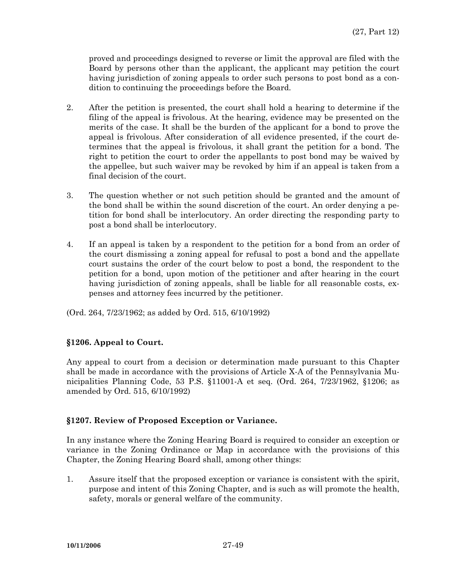proved and proceedings designed to reverse or limit the approval are filed with the Board by persons other than the applicant, the applicant may petition the court having jurisdiction of zoning appeals to order such persons to post bond as a condition to continuing the proceedings before the Board.

- 2. After the petition is presented, the court shall hold a hearing to determine if the filing of the appeal is frivolous. At the hearing, evidence may be presented on the merits of the case. It shall be the burden of the applicant for a bond to prove the appeal is frivolous. After consideration of all evidence presented, if the court determines that the appeal is frivolous, it shall grant the petition for a bond. The right to petition the court to order the appellants to post bond may be waived by the appellee, but such waiver may be revoked by him if an appeal is taken from a final decision of the court.
- 3. The question whether or not such petition should be granted and the amount of the bond shall be within the sound discretion of the court. An order denying a petition for bond shall be interlocutory. An order directing the responding party to post a bond shall be interlocutory.
- 4. If an appeal is taken by a respondent to the petition for a bond from an order of the court dismissing a zoning appeal for refusal to post a bond and the appellate court sustains the order of the court below to post a bond, the respondent to the petition for a bond, upon motion of the petitioner and after hearing in the court having jurisdiction of zoning appeals, shall be liable for all reasonable costs, expenses and attorney fees incurred by the petitioner.
- (Ord. 264, 7/23/1962; as added by Ord. 515, 6/10/1992)

## **§1206. Appeal to Court.**

Any appeal to court from a decision or determination made pursuant to this Chapter shall be made in accordance with the provisions of Article X-A of the Pennsylvania Municipalities Planning Code, 53 P.S. §11001-A et seq. (Ord. 264, 7/23/1962, §1206; as amended by Ord. 515, 6/10/1992)

## **§1207. Review of Proposed Exception or Variance.**

In any instance where the Zoning Hearing Board is required to consider an exception or variance in the Zoning Ordinance or Map in accordance with the provisions of this Chapter, the Zoning Hearing Board shall, among other things:

1. Assure itself that the proposed exception or variance is consistent with the spirit, purpose and intent of this Zoning Chapter, and is such as will promote the health, safety, morals or general welfare of the community.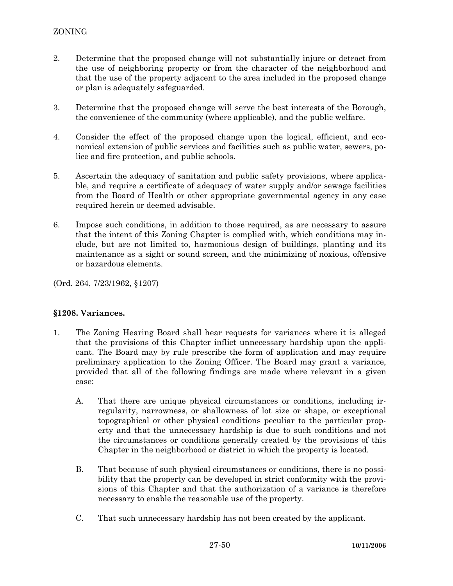- 2. Determine that the proposed change will not substantially injure or detract from the use of neighboring property or from the character of the neighborhood and that the use of the property adjacent to the area included in the proposed change or plan is adequately safeguarded.
- 3. Determine that the proposed change will serve the best interests of the Borough, the convenience of the community (where applicable), and the public welfare.
- 4. Consider the effect of the proposed change upon the logical, efficient, and economical extension of public services and facilities such as public water, sewers, police and fire protection, and public schools.
- 5. Ascertain the adequacy of sanitation and public safety provisions, where applicable, and require a certificate of adequacy of water supply and/or sewage facilities from the Board of Health or other appropriate governmental agency in any case required herein or deemed advisable.
- 6. Impose such conditions, in addition to those required, as are necessary to assure that the intent of this Zoning Chapter is complied with, which conditions may include, but are not limited to, harmonious design of buildings, planting and its maintenance as a sight or sound screen, and the minimizing of noxious, offensive or hazardous elements.

(Ord. 264, 7/23/1962, §1207)

## **§1208. Variances.**

- 1. The Zoning Hearing Board shall hear requests for variances where it is alleged that the provisions of this Chapter inflict unnecessary hardship upon the applicant. The Board may by rule prescribe the form of application and may require preliminary application to the Zoning Officer. The Board may grant a variance, provided that all of the following findings are made where relevant in a given case:
	- A. That there are unique physical circumstances or conditions, including irregularity, narrowness, or shallowness of lot size or shape, or exceptional topographical or other physical conditions peculiar to the particular property and that the unnecessary hardship is due to such conditions and not the circumstances or conditions generally created by the provisions of this Chapter in the neighborhood or district in which the property is located.
	- B. That because of such physical circumstances or conditions, there is no possibility that the property can be developed in strict conformity with the provisions of this Chapter and that the authorization of a variance is therefore necessary to enable the reasonable use of the property.
	- C. That such unnecessary hardship has not been created by the applicant.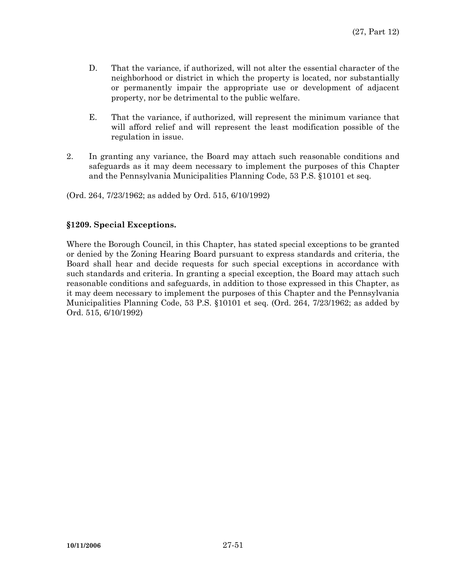- D. That the variance, if authorized, will not alter the essential character of the neighborhood or district in which the property is located, nor substantially or permanently impair the appropriate use or development of adjacent property, nor be detrimental to the public welfare.
- E. That the variance, if authorized, will represent the minimum variance that will afford relief and will represent the least modification possible of the regulation in issue.
- 2. In granting any variance, the Board may attach such reasonable conditions and safeguards as it may deem necessary to implement the purposes of this Chapter and the Pennsylvania Municipalities Planning Code, 53 P.S. §10101 et seq.

(Ord. 264, 7/23/1962; as added by Ord. 515, 6/10/1992)

### **§1209. Special Exceptions.**

Where the Borough Council, in this Chapter, has stated special exceptions to be granted or denied by the Zoning Hearing Board pursuant to express standards and criteria, the Board shall hear and decide requests for such special exceptions in accordance with such standards and criteria. In granting a special exception, the Board may attach such reasonable conditions and safeguards, in addition to those expressed in this Chapter, as it may deem necessary to implement the purposes of this Chapter and the Pennsylvania Municipalities Planning Code, 53 P.S. §10101 et seq. (Ord. 264, 7/23/1962; as added by Ord. 515, 6/10/1992)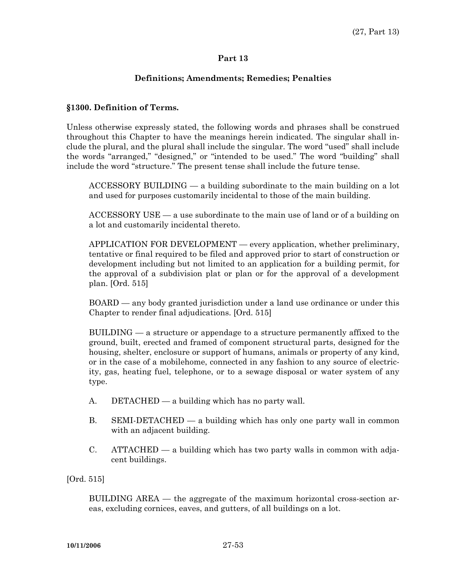#### **Part 13**

### **Definitions; Amendments; Remedies; Penalties**

#### **§1300. Definition of Terms.**

Unless otherwise expressly stated, the following words and phrases shall be construed throughout this Chapter to have the meanings herein indicated. The singular shall include the plural, and the plural shall include the singular. The word "used" shall include the words "arranged," "designed," or "intended to be used." The word "building" shall include the word "structure." The present tense shall include the future tense.

 ACCESSORY BUILDING — a building subordinate to the main building on a lot and used for purposes customarily incidental to those of the main building.

 ACCESSORY USE — a use subordinate to the main use of land or of a building on a lot and customarily incidental thereto.

 APPLICATION FOR DEVELOPMENT — every application, whether preliminary, tentative or final required to be filed and approved prior to start of construction or development including but not limited to an application for a building permit, for the approval of a subdivision plat or plan or for the approval of a development plan. [Ord. 515]

 BOARD — any body granted jurisdiction under a land use ordinance or under this Chapter to render final adjudications. [Ord. 515]

 BUILDING — a structure or appendage to a structure permanently affixed to the ground, built, erected and framed of component structural parts, designed for the housing, shelter, enclosure or support of humans, animals or property of any kind, or in the case of a mobilehome, connected in any fashion to any source of electricity, gas, heating fuel, telephone, or to a sewage disposal or water system of any type.

- A. DETACHED a building which has no party wall.
- B. SEMI-DETACHED a building which has only one party wall in common with an adjacent building.
- C. ATTACHED a building which has two party walls in common with adjacent buildings.

#### [Ord. 515]

 BUILDING AREA — the aggregate of the maximum horizontal cross-section areas, excluding cornices, eaves, and gutters, of all buildings on a lot.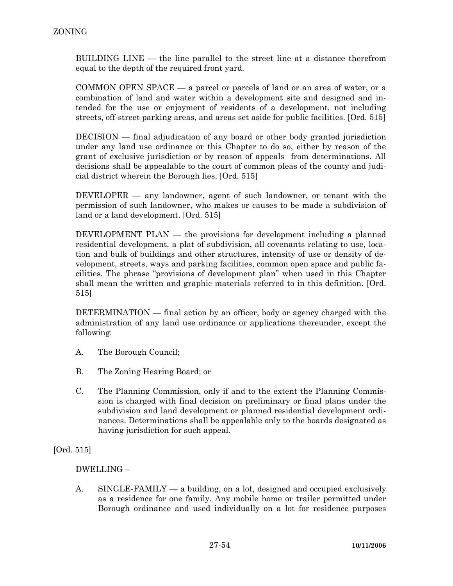BUILDING LINE — the line parallel to the street line at a distance therefrom equal to the depth of the required front yard.

 COMMON OPEN SPACE — a parcel or parcels of land or an area of water, or a combination of land and water within a development site and designed and intended for the use or enjoyment of residents of a development, not including streets, off-street parking areas, and areas set aside for public facilities. [Ord. 515]

 DECISION — final adjudication of any board or other body granted jurisdiction under any land use ordinance or this Chapter to do so, either by reason of the grant of exclusive jurisdiction or by reason of appeals from determinations. All decisions shall be appealable to the court of common pleas of the county and judicial district wherein the Borough lies. [Ord. 515]

 DEVELOPER — any landowner, agent of such landowner, or tenant with the permission of such landowner, who makes or causes to be made a subdivision of land or a land development. [Ord. 515]

 DEVELOPMENT PLAN — the provisions for development including a planned residential development, a plat of subdivision, all covenants relating to use, location and bulk of buildings and other structures, intensity of use or density of development, streets, ways and parking facilities, common open space and public facilities. The phrase "provisions of development plan" when used in this Chapter shall mean the written and graphic materials referred to in this definition. [Ord. 515]

 DETERMINATION — final action by an officer, body or agency charged with the administration of any land use ordinance or applications thereunder, except the following:

- A. The Borough Council;
- B. The Zoning Hearing Board; or
- C. The Planning Commission, only if and to the extent the Planning Commission is charged with final decision on preliminary or final plans under the subdivision and land development or planned residential development ordinances. Determinations shall be appealable only to the boards designated as having jurisdiction for such appeal.

[Ord. 515]

## DWELLING –

 A. SINGLE-FAMILY — a building, on a lot, designed and occupied exclusively as a residence for one family. Any mobile home or trailer permitted under Borough ordinance and used individually on a lot for residence purposes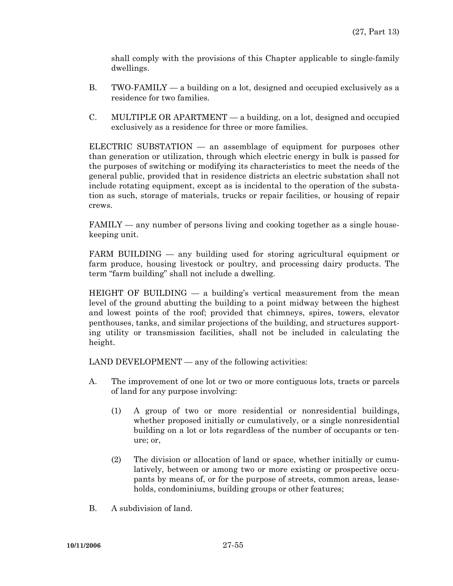shall comply with the provisions of this Chapter applicable to single-family dwellings.

- B. TWO-FAMILY a building on a lot, designed and occupied exclusively as a residence for two families.
- C. MULTIPLE OR APARTMENT a building, on a lot, designed and occupied exclusively as a residence for three or more families.

 ELECTRIC SUBSTATION — an assemblage of equipment for purposes other than generation or utilization, through which electric energy in bulk is passed for the purposes of switching or modifying its characteristics to meet the needs of the general public, provided that in residence districts an electric substation shall not include rotating equipment, except as is incidental to the operation of the substation as such, storage of materials, trucks or repair facilities, or housing of repair crews.

 FAMILY — any number of persons living and cooking together as a single housekeeping unit.

 FARM BUILDING — any building used for storing agricultural equipment or farm produce, housing livestock or poultry, and processing dairy products. The term "farm building" shall not include a dwelling.

HEIGHT OF BUILDING  $-$  a building's vertical measurement from the mean level of the ground abutting the building to a point midway between the highest and lowest points of the roof; provided that chimneys, spires, towers, elevator penthouses, tanks, and similar projections of the building, and structures supporting utility or transmission facilities, shall not be included in calculating the height.

LAND DEVELOPMENT — any of the following activities:

- A. The improvement of one lot or two or more contiguous lots, tracts or parcels of land for any purpose involving:
	- (1) A group of two or more residential or nonresidential buildings, whether proposed initially or cumulatively, or a single nonresidential building on a lot or lots regardless of the number of occupants or tenure; or,
	- (2) The division or allocation of land or space, whether initially or cumulatively, between or among two or more existing or prospective occupants by means of, or for the purpose of streets, common areas, leaseholds, condominiums, building groups or other features;
- B. A subdivision of land.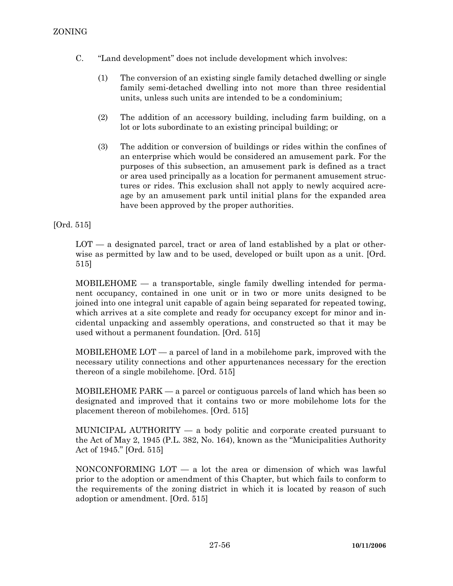- C. "Land development" does not include development which involves:
	- (1) The conversion of an existing single family detached dwelling or single family semi-detached dwelling into not more than three residential units, unless such units are intended to be a condominium;
	- (2) The addition of an accessory building, including farm building, on a lot or lots subordinate to an existing principal building; or
	- (3) The addition or conversion of buildings or rides within the confines of an enterprise which would be considered an amusement park. For the purposes of this subsection, an amusement park is defined as a tract or area used principally as a location for permanent amusement structures or rides. This exclusion shall not apply to newly acquired acreage by an amusement park until initial plans for the expanded area have been approved by the proper authorities.

[Ord. 515]

LOT — a designated parcel, tract or area of land established by a plat or otherwise as permitted by law and to be used, developed or built upon as a unit. [Ord. 515]

 MOBILEHOME — a transportable, single family dwelling intended for permanent occupancy, contained in one unit or in two or more units designed to be joined into one integral unit capable of again being separated for repeated towing, which arrives at a site complete and ready for occupancy except for minor and incidental unpacking and assembly operations, and constructed so that it may be used without a permanent foundation. [Ord. 515]

 MOBILEHOME LOT — a parcel of land in a mobilehome park, improved with the necessary utility connections and other appurtenances necessary for the erection thereon of a single mobilehome. [Ord. 515]

 MOBILEHOME PARK — a parcel or contiguous parcels of land which has been so designated and improved that it contains two or more mobilehome lots for the placement thereon of mobilehomes. [Ord. 515]

 MUNICIPAL AUTHORITY — a body politic and corporate created pursuant to the Act of May 2, 1945 (P.L. 382, No. 164), known as the "Municipalities Authority Act of 1945." [Ord. 515]

 NONCONFORMING LOT — a lot the area or dimension of which was lawful prior to the adoption or amendment of this Chapter, but which fails to conform to the requirements of the zoning district in which it is located by reason of such adoption or amendment. [Ord. 515]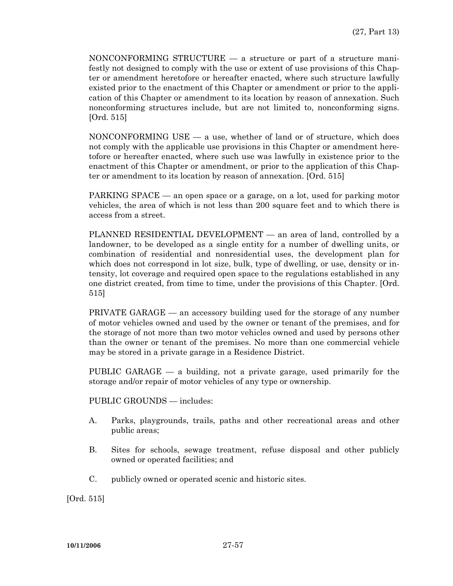NONCONFORMING STRUCTURE — a structure or part of a structure manifestly not designed to comply with the use or extent of use provisions of this Chapter or amendment heretofore or hereafter enacted, where such structure lawfully existed prior to the enactment of this Chapter or amendment or prior to the application of this Chapter or amendment to its location by reason of annexation. Such nonconforming structures include, but are not limited to, nonconforming signs. [Ord. 515]

 NONCONFORMING USE — a use, whether of land or of structure, which does not comply with the applicable use provisions in this Chapter or amendment heretofore or hereafter enacted, where such use was lawfully in existence prior to the enactment of this Chapter or amendment, or prior to the application of this Chapter or amendment to its location by reason of annexation. [Ord. 515]

 PARKING SPACE — an open space or a garage, on a lot, used for parking motor vehicles, the area of which is not less than 200 square feet and to which there is access from a street.

 PLANNED RESIDENTIAL DEVELOPMENT — an area of land, controlled by a landowner, to be developed as a single entity for a number of dwelling units, or combination of residential and nonresidential uses, the development plan for which does not correspond in lot size, bulk, type of dwelling, or use, density or intensity, lot coverage and required open space to the regulations established in any one district created, from time to time, under the provisions of this Chapter. [Ord. 515]

PRIVATE GARAGE — an accessory building used for the storage of any number of motor vehicles owned and used by the owner or tenant of the premises, and for the storage of not more than two motor vehicles owned and used by persons other than the owner or tenant of the premises. No more than one commercial vehicle may be stored in a private garage in a Residence District.

 PUBLIC GARAGE — a building, not a private garage, used primarily for the storage and/or repair of motor vehicles of any type or ownership.

PUBLIC GROUNDS — includes:

- A. Parks, playgrounds, trails, paths and other recreational areas and other public areas;
- B. Sites for schools, sewage treatment, refuse disposal and other publicly owned or operated facilities; and
- C. publicly owned or operated scenic and historic sites.

[Ord. 515]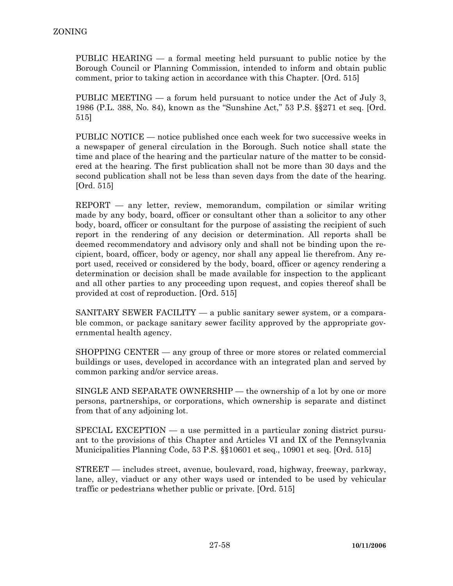PUBLIC HEARING — a formal meeting held pursuant to public notice by the Borough Council or Planning Commission, intended to inform and obtain public comment, prior to taking action in accordance with this Chapter. [Ord. 515]

 PUBLIC MEETING — a forum held pursuant to notice under the Act of July 3, 1986 (P.L. 388, No. 84), known as the "Sunshine Act," 53 P.S. §§271 et seq. [Ord. 515]

 PUBLIC NOTICE — notice published once each week for two successive weeks in a newspaper of general circulation in the Borough. Such notice shall state the time and place of the hearing and the particular nature of the matter to be considered at the hearing. The first publication shall not be more than 30 days and the second publication shall not be less than seven days from the date of the hearing. [Ord. 515]

 $REPORT$  — any letter, review, memorandum, compilation or similar writing made by any body, board, officer or consultant other than a solicitor to any other body, board, officer or consultant for the purpose of assisting the recipient of such report in the rendering of any decision or determination. All reports shall be deemed recommendatory and advisory only and shall not be binding upon the recipient, board, officer, body or agency, nor shall any appeal lie therefrom. Any report used, received or considered by the body, board, officer or agency rendering a determination or decision shall be made available for inspection to the applicant and all other parties to any proceeding upon request, and copies thereof shall be provided at cost of reproduction. [Ord. 515]

 SANITARY SEWER FACILITY — a public sanitary sewer system, or a comparable common, or package sanitary sewer facility approved by the appropriate governmental health agency.

 SHOPPING CENTER — any group of three or more stores or related commercial buildings or uses, developed in accordance with an integrated plan and served by common parking and/or service areas.

 SINGLE AND SEPARATE OWNERSHIP — the ownership of a lot by one or more persons, partnerships, or corporations, which ownership is separate and distinct from that of any adjoining lot.

SPECIAL EXCEPTION  $-$  a use permitted in a particular zoning district pursuant to the provisions of this Chapter and Articles VI and IX of the Pennsylvania Municipalities Planning Code, 53 P.S. §§10601 et seq., 10901 et seq. [Ord. 515]

 STREET — includes street, avenue, boulevard, road, highway, freeway, parkway, lane, alley, viaduct or any other ways used or intended to be used by vehicular traffic or pedestrians whether public or private. [Ord. 515]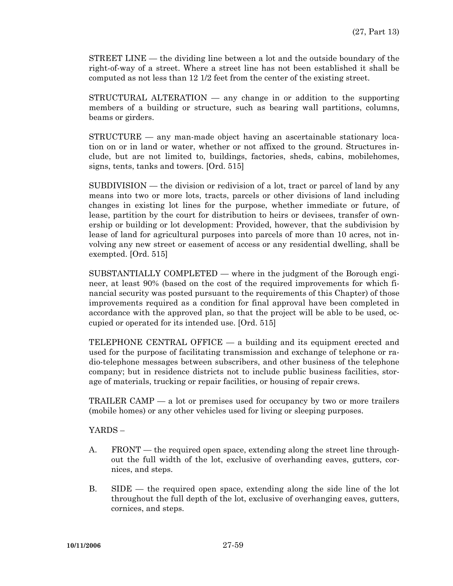STREET LINE — the dividing line between a lot and the outside boundary of the right-of-way of a street. Where a street line has not been established it shall be computed as not less than 12 1/2 feet from the center of the existing street.

 STRUCTURAL ALTERATION — any change in or addition to the supporting members of a building or structure, such as bearing wall partitions, columns, beams or girders.

 STRUCTURE — any man-made object having an ascertainable stationary location on or in land or water, whether or not affixed to the ground. Structures include, but are not limited to, buildings, factories, sheds, cabins, mobilehomes, signs, tents, tanks and towers. [Ord. 515]

 SUBDIVISION — the division or redivision of a lot, tract or parcel of land by any means into two or more lots, tracts, parcels or other divisions of land including changes in existing lot lines for the purpose, whether immediate or future, of lease, partition by the court for distribution to heirs or devisees, transfer of ownership or building or lot development: Provided, however, that the subdivision by lease of land for agricultural purposes into parcels of more than 10 acres, not involving any new street or easement of access or any residential dwelling, shall be exempted. [Ord. 515]

 SUBSTANTIALLY COMPLETED — where in the judgment of the Borough engineer, at least 90% (based on the cost of the required improvements for which financial security was posted pursuant to the requirements of this Chapter) of those improvements required as a condition for final approval have been completed in accordance with the approved plan, so that the project will be able to be used, occupied or operated for its intended use. [Ord. 515]

 TELEPHONE CENTRAL OFFICE — a building and its equipment erected and used for the purpose of facilitating transmission and exchange of telephone or radio-telephone messages between subscribers, and other business of the telephone company; but in residence districts not to include public business facilities, storage of materials, trucking or repair facilities, or housing of repair crews.

 TRAILER CAMP — a lot or premises used for occupancy by two or more trailers (mobile homes) or any other vehicles used for living or sleeping purposes.

YARDS –

- A. FRONT the required open space, extending along the street line throughout the full width of the lot, exclusive of overhanding eaves, gutters, cornices, and steps.
- B. SIDE the required open space, extending along the side line of the lot throughout the full depth of the lot, exclusive of overhanging eaves, gutters, cornices, and steps.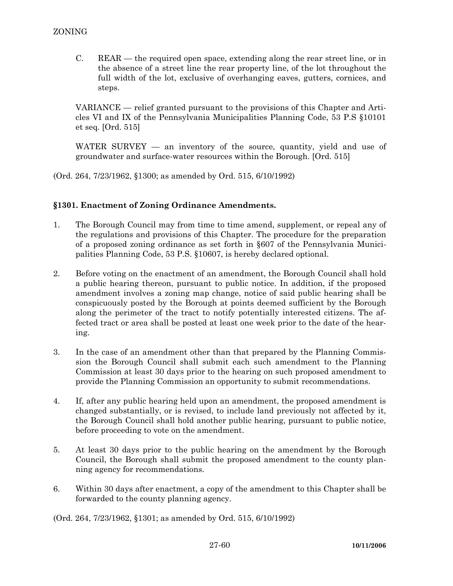C. REAR — the required open space, extending along the rear street line, or in the absence of a street line the rear property line, of the lot throughout the full width of the lot, exclusive of overhanging eaves, gutters, cornices, and steps.

 VARIANCE — relief granted pursuant to the provisions of this Chapter and Articles VI and IX of the Pennsylvania Municipalities Planning Code, 53 P.S §10101 et seq. [Ord. 515]

WATER SURVEY — an inventory of the source, quantity, yield and use of groundwater and surface-water resources within the Borough. [Ord. 515]

(Ord. 264, 7/23/1962, §1300; as amended by Ord. 515, 6/10/1992)

## **§1301. Enactment of Zoning Ordinance Amendments.**

- 1. The Borough Council may from time to time amend, supplement, or repeal any of the regulations and provisions of this Chapter. The procedure for the preparation of a proposed zoning ordinance as set forth in §607 of the Pennsylvania Municipalities Planning Code, 53 P.S. §10607, is hereby declared optional.
- 2. Before voting on the enactment of an amendment, the Borough Council shall hold a public hearing thereon, pursuant to public notice. In addition, if the proposed amendment involves a zoning map change, notice of said public hearing shall be conspicuously posted by the Borough at points deemed sufficient by the Borough along the perimeter of the tract to notify potentially interested citizens. The affected tract or area shall be posted at least one week prior to the date of the hearing.
- 3. In the case of an amendment other than that prepared by the Planning Commission the Borough Council shall submit each such amendment to the Planning Commission at least 30 days prior to the hearing on such proposed amendment to provide the Planning Commission an opportunity to submit recommendations.
- 4. If, after any public hearing held upon an amendment, the proposed amendment is changed substantially, or is revised, to include land previously not affected by it, the Borough Council shall hold another public hearing, pursuant to public notice, before proceeding to vote on the amendment.
- 5. At least 30 days prior to the public hearing on the amendment by the Borough Council, the Borough shall submit the proposed amendment to the county planning agency for recommendations.
- 6. Within 30 days after enactment, a copy of the amendment to this Chapter shall be forwarded to the county planning agency.

(Ord. 264, 7/23/1962, §1301; as amended by Ord. 515, 6/10/1992)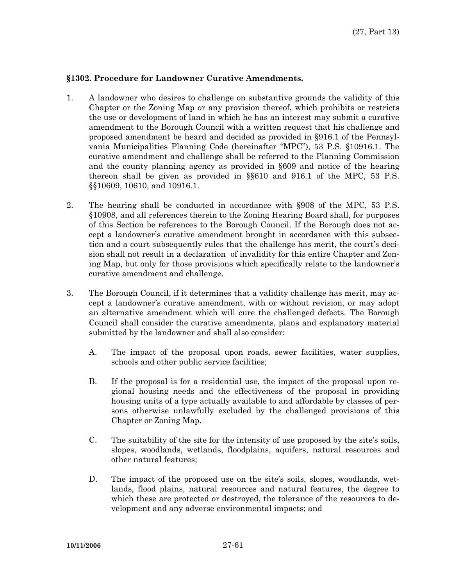### **§1302. Procedure for Landowner Curative Amendments.**

- 1. A landowner who desires to challenge on substantive grounds the validity of this Chapter or the Zoning Map or any provision thereof, which prohibits or restricts the use or development of land in which he has an interest may submit a curative amendment to the Borough Council with a written request that his challenge and proposed amendment be heard and decided as provided in §916.1 of the Pennsylvania Municipalities Planning Code (hereinafter "MPC"), 53 P.S. §10916.1. The curative amendment and challenge shall be referred to the Planning Commission and the county planning agency as provided in §609 and notice of the hearing thereon shall be given as provided in §§610 and 916.1 of the MPC, 53 P.S. §§10609, 10610, and 10916.1.
- 2. The hearing shall be conducted in accordance with §908 of the MPC, 53 P.S. §10908, and all references therein to the Zoning Hearing Board shall, for purposes of this Section be references to the Borough Council. If the Borough does not accept a landowner's curative amendment brought in accordance with this subsection and a court subsequently rules that the challenge has merit, the court's decision shall not result in a declaration of invalidity for this entire Chapter and Zoning Map, but only for those provisions which specifically relate to the landowner's curative amendment and challenge.
- 3. The Borough Council, if it determines that a validity challenge has merit, may accept a landowner's curative amendment, with or without revision, or may adopt an alternative amendment which will cure the challenged defects. The Borough Council shall consider the curative amendments, plans and explanatory material submitted by the landowner and shall also consider:
	- A. The impact of the proposal upon roads, sewer facilities, water supplies, schools and other public service facilities;
	- B. If the proposal is for a residential use, the impact of the proposal upon regional housing needs and the effectiveness of the proposal in providing housing units of a type actually available to and affordable by classes of persons otherwise unlawfully excluded by the challenged provisions of this Chapter or Zoning Map.
	- C. The suitability of the site for the intensity of use proposed by the site's soils, slopes, woodlands, wetlands, floodplains, aquifers, natural resources and other natural features;
	- D. The impact of the proposed use on the site's soils, slopes, woodlands, wetlands, flood plains, natural resources and natural features, the degree to which these are protected or destroyed, the tolerance of the resources to development and any adverse environmental impacts; and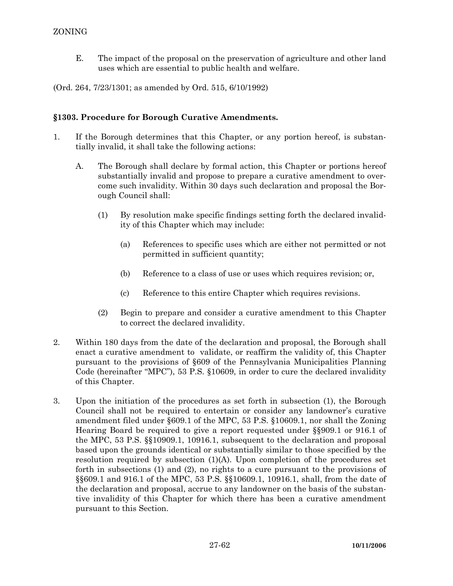E. The impact of the proposal on the preservation of agriculture and other land uses which are essential to public health and welfare.

(Ord. 264, 7/23/1301; as amended by Ord. 515, 6/10/1992)

## **§1303. Procedure for Borough Curative Amendments.**

- 1. If the Borough determines that this Chapter, or any portion hereof, is substantially invalid, it shall take the following actions:
	- A. The Borough shall declare by formal action, this Chapter or portions hereof substantially invalid and propose to prepare a curative amendment to overcome such invalidity. Within 30 days such declaration and proposal the Borough Council shall:
		- (1) By resolution make specific findings setting forth the declared invalidity of this Chapter which may include:
			- (a) References to specific uses which are either not permitted or not permitted in sufficient quantity;
			- (b) Reference to a class of use or uses which requires revision; or,
			- (c) Reference to this entire Chapter which requires revisions.
		- (2) Begin to prepare and consider a curative amendment to this Chapter to correct the declared invalidity.
- 2. Within 180 days from the date of the declaration and proposal, the Borough shall enact a curative amendment to validate, or reaffirm the validity of, this Chapter pursuant to the provisions of §609 of the Pennsylvania Municipalities Planning Code (hereinafter "MPC"), 53 P.S. §10609, in order to cure the declared invalidity of this Chapter.
- 3. Upon the initiation of the procedures as set forth in subsection (1), the Borough Council shall not be required to entertain or consider any landowner's curative amendment filed under §609.1 of the MPC, 53 P.S. §10609.1, nor shall the Zoning Hearing Board be required to give a report requested under §§909.1 or 916.1 of the MPC, 53 P.S. §§10909.1, 10916.1, subsequent to the declaration and proposal based upon the grounds identical or substantially similar to those specified by the resolution required by subsection  $(1)(A)$ . Upon completion of the procedures set forth in subsections (1) and (2), no rights to a cure pursuant to the provisions of §§609.1 and 916.1 of the MPC, 53 P.S. §§10609.1, 10916.1, shall, from the date of the declaration and proposal, accrue to any landowner on the basis of the substantive invalidity of this Chapter for which there has been a curative amendment pursuant to this Section.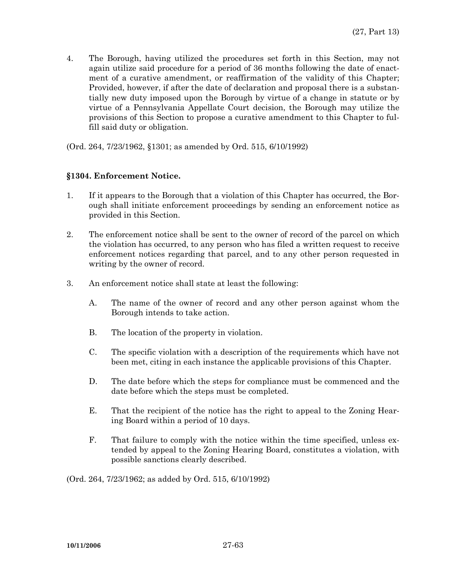4. The Borough, having utilized the procedures set forth in this Section, may not again utilize said procedure for a period of 36 months following the date of enactment of a curative amendment, or reaffirmation of the validity of this Chapter; Provided, however, if after the date of declaration and proposal there is a substantially new duty imposed upon the Borough by virtue of a change in statute or by virtue of a Pennsylvania Appellate Court decision, the Borough may utilize the provisions of this Section to propose a curative amendment to this Chapter to fulfill said duty or obligation.

(Ord. 264, 7/23/1962, §1301; as amended by Ord. 515, 6/10/1992)

## **§1304. Enforcement Notice.**

- 1. If it appears to the Borough that a violation of this Chapter has occurred, the Borough shall initiate enforcement proceedings by sending an enforcement notice as provided in this Section.
- 2. The enforcement notice shall be sent to the owner of record of the parcel on which the violation has occurred, to any person who has filed a written request to receive enforcement notices regarding that parcel, and to any other person requested in writing by the owner of record.
- 3. An enforcement notice shall state at least the following:
	- A. The name of the owner of record and any other person against whom the Borough intends to take action.
	- B. The location of the property in violation.
	- C. The specific violation with a description of the requirements which have not been met, citing in each instance the applicable provisions of this Chapter.
	- D. The date before which the steps for compliance must be commenced and the date before which the steps must be completed.
	- E. That the recipient of the notice has the right to appeal to the Zoning Hearing Board within a period of 10 days.
	- F. That failure to comply with the notice within the time specified, unless extended by appeal to the Zoning Hearing Board, constitutes a violation, with possible sanctions clearly described.

(Ord. 264, 7/23/1962; as added by Ord. 515, 6/10/1992)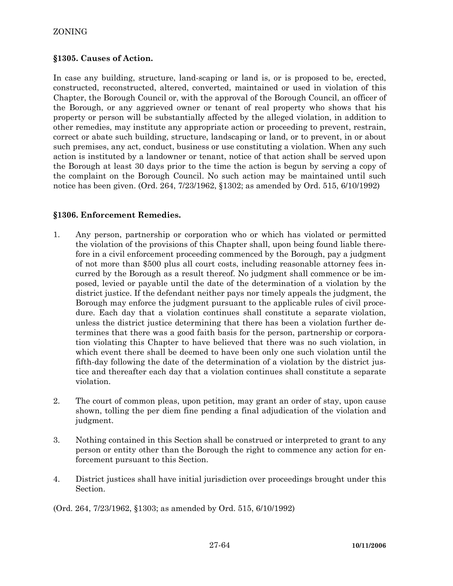## **§1305. Causes of Action.**

In case any building, structure, land-scaping or land is, or is proposed to be, erected, constructed, reconstructed, altered, converted, maintained or used in violation of this Chapter, the Borough Council or, with the approval of the Borough Council, an officer of the Borough, or any aggrieved owner or tenant of real property who shows that his property or person will be substantially affected by the alleged violation, in addition to other remedies, may institute any appropriate action or proceeding to prevent, restrain, correct or abate such building, structure, landscaping or land, or to prevent, in or about such premises, any act, conduct, business or use constituting a violation. When any such action is instituted by a landowner or tenant, notice of that action shall be served upon the Borough at least 30 days prior to the time the action is begun by serving a copy of the complaint on the Borough Council. No such action may be maintained until such notice has been given. (Ord. 264, 7/23/1962, §1302; as amended by Ord. 515, 6/10/1992)

## **§1306. Enforcement Remedies.**

- 1. Any person, partnership or corporation who or which has violated or permitted the violation of the provisions of this Chapter shall, upon being found liable therefore in a civil enforcement proceeding commenced by the Borough, pay a judgment of not more than \$500 plus all court costs, including reasonable attorney fees incurred by the Borough as a result thereof. No judgment shall commence or be imposed, levied or payable until the date of the determination of a violation by the district justice. If the defendant neither pays nor timely appeals the judgment, the Borough may enforce the judgment pursuant to the applicable rules of civil procedure. Each day that a violation continues shall constitute a separate violation, unless the district justice determining that there has been a violation further determines that there was a good faith basis for the person, partnership or corporation violating this Chapter to have believed that there was no such violation, in which event there shall be deemed to have been only one such violation until the fifth-day following the date of the determination of a violation by the district justice and thereafter each day that a violation continues shall constitute a separate violation.
- 2. The court of common pleas, upon petition, may grant an order of stay, upon cause shown, tolling the per diem fine pending a final adjudication of the violation and judgment.
- 3. Nothing contained in this Section shall be construed or interpreted to grant to any person or entity other than the Borough the right to commence any action for enforcement pursuant to this Section.
- 4. District justices shall have initial jurisdiction over proceedings brought under this Section.

(Ord. 264, 7/23/1962, §1303; as amended by Ord. 515, 6/10/1992)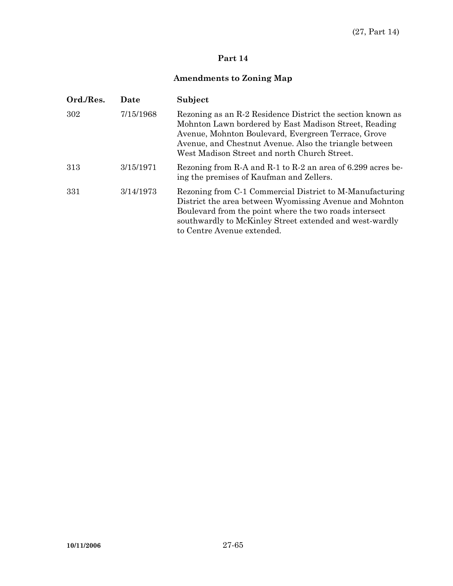## **Part 14**

# **Amendments to Zoning Map**

| Ord./Res. | Date      | Subject                                                                                                                                                                                                                                                                              |
|-----------|-----------|--------------------------------------------------------------------------------------------------------------------------------------------------------------------------------------------------------------------------------------------------------------------------------------|
| 302       | 7/15/1968 | Rezoning as an R-2 Residence District the section known as<br>Mohnton Lawn bordered by East Madison Street, Reading<br>Avenue, Mohnton Boulevard, Evergreen Terrace, Grove<br>Avenue, and Chestnut Avenue. Also the triangle between<br>West Madison Street and north Church Street. |
| 313       | 3/15/1971 | Rezoning from R-A and R-1 to R-2 an area of 6.299 acres be-<br>ing the premises of Kaufman and Zellers.                                                                                                                                                                              |
| 331       | 3/14/1973 | Rezoning from C-1 Commercial District to M-Manufacturing<br>District the area between Wyomissing Avenue and Mohnton<br>Boulevard from the point where the two roads intersect<br>southwardly to McKinley Street extended and west-wardly<br>to Centre Avenue extended.               |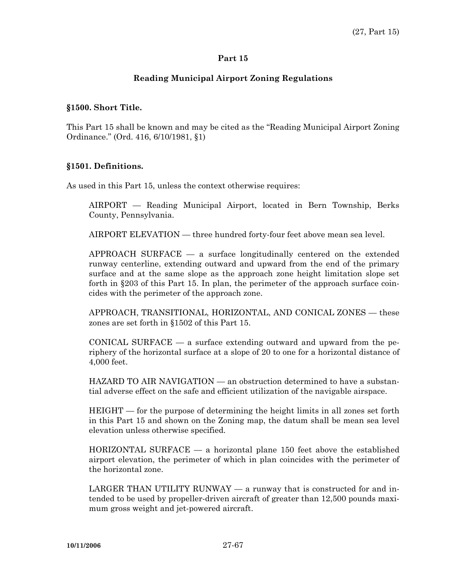#### **Part 15**

## **Reading Municipal Airport Zoning Regulations**

#### **§1500. Short Title.**

This Part 15 shall be known and may be cited as the "Reading Municipal Airport Zoning Ordinance." (Ord. 416, 6/10/1981, §1)

### **§1501. Definitions.**

As used in this Part 15, unless the context otherwise requires:

 AIRPORT — Reading Municipal Airport, located in Bern Township, Berks County, Pennsylvania.

AIRPORT ELEVATION — three hundred forty-four feet above mean sea level.

 APPROACH SURFACE — a surface longitudinally centered on the extended runway centerline, extending outward and upward from the end of the primary surface and at the same slope as the approach zone height limitation slope set forth in §203 of this Part 15. In plan, the perimeter of the approach surface coincides with the perimeter of the approach zone.

 APPROACH, TRANSITIONAL, HORIZONTAL, AND CONICAL ZONES — these zones are set forth in §1502 of this Part 15.

CONICAL SURFACE  $-$  a surface extending outward and upward from the periphery of the horizontal surface at a slope of 20 to one for a horizontal distance of 4,000 feet.

 HAZARD TO AIR NAVIGATION — an obstruction determined to have a substantial adverse effect on the safe and efficient utilization of the navigable airspace.

 HEIGHT — for the purpose of determining the height limits in all zones set forth in this Part 15 and shown on the Zoning map, the datum shall be mean sea level elevation unless otherwise specified.

 HORIZONTAL SURFACE — a horizontal plane 150 feet above the established airport elevation, the perimeter of which in plan coincides with the perimeter of the horizontal zone.

LARGER THAN UTILITY RUNWAY  $-$  a runway that is constructed for and intended to be used by propeller-driven aircraft of greater than 12,500 pounds maximum gross weight and jet-powered aircraft.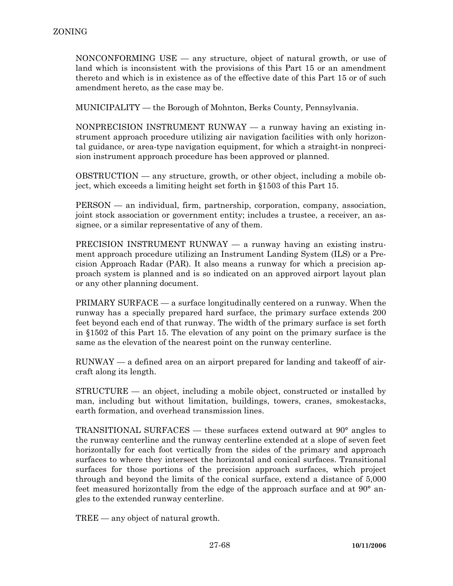NONCONFORMING USE — any structure, object of natural growth, or use of land which is inconsistent with the provisions of this Part 15 or an amendment thereto and which is in existence as of the effective date of this Part 15 or of such amendment hereto, as the case may be.

MUNICIPALITY — the Borough of Mohnton, Berks County, Pennsylvania.

 NONPRECISION INSTRUMENT RUNWAY — a runway having an existing instrument approach procedure utilizing air navigation facilities with only horizontal guidance, or area-type navigation equipment, for which a straight-in nonprecision instrument approach procedure has been approved or planned.

 OBSTRUCTION — any structure, growth, or other object, including a mobile object, which exceeds a limiting height set forth in §1503 of this Part 15.

 PERSON — an individual, firm, partnership, corporation, company, association, joint stock association or government entity; includes a trustee, a receiver, an assignee, or a similar representative of any of them.

 PRECISION INSTRUMENT RUNWAY — a runway having an existing instrument approach procedure utilizing an Instrument Landing System (ILS) or a Precision Approach Radar (PAR). It also means a runway for which a precision approach system is planned and is so indicated on an approved airport layout plan or any other planning document.

 PRIMARY SURFACE — a surface longitudinally centered on a runway. When the runway has a specially prepared hard surface, the primary surface extends 200 feet beyond each end of that runway. The width of the primary surface is set forth in §1502 of this Part 15. The elevation of any point on the primary surface is the same as the elevation of the nearest point on the runway centerline.

 RUNWAY — a defined area on an airport prepared for landing and takeoff of aircraft along its length.

 STRUCTURE — an object, including a mobile object, constructed or installed by man, including but without limitation, buildings, towers, cranes, smokestacks, earth formation, and overhead transmission lines.

 TRANSITIONAL SURFACES — these surfaces extend outward at 90° angles to the runway centerline and the runway centerline extended at a slope of seven feet horizontally for each foot vertically from the sides of the primary and approach surfaces to where they intersect the horizontal and conical surfaces. Transitional surfaces for those portions of the precision approach surfaces, which project through and beyond the limits of the conical surface, extend a distance of 5,000 feet measured horizontally from the edge of the approach surface and at 90° angles to the extended runway centerline.

TREE — any object of natural growth.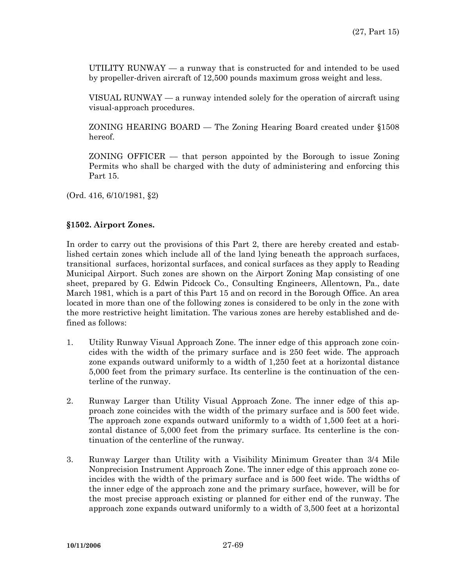UTILITY RUNWAY — a runway that is constructed for and intended to be used by propeller-driven aircraft of 12,500 pounds maximum gross weight and less.

 VISUAL RUNWAY — a runway intended solely for the operation of aircraft using visual-approach procedures.

 ZONING HEARING BOARD — The Zoning Hearing Board created under §1508 hereof.

 ZONING OFFICER — that person appointed by the Borough to issue Zoning Permits who shall be charged with the duty of administering and enforcing this Part 15.

(Ord. 416, 6/10/1981, §2)

### **§1502. Airport Zones.**

In order to carry out the provisions of this Part 2, there are hereby created and established certain zones which include all of the land lying beneath the approach surfaces, transitional surfaces, horizontal surfaces, and conical surfaces as they apply to Reading Municipal Airport. Such zones are shown on the Airport Zoning Map consisting of one sheet, prepared by G. Edwin Pidcock Co., Consulting Engineers, Allentown, Pa., date March 1981, which is a part of this Part 15 and on record in the Borough Office. An area located in more than one of the following zones is considered to be only in the zone with the more restrictive height limitation. The various zones are hereby established and defined as follows:

- 1. Utility Runway Visual Approach Zone. The inner edge of this approach zone coincides with the width of the primary surface and is 250 feet wide. The approach zone expands outward uniformly to a width of 1,250 feet at a horizontal distance 5,000 feet from the primary surface. Its centerline is the continuation of the centerline of the runway.
- 2. Runway Larger than Utility Visual Approach Zone. The inner edge of this approach zone coincides with the width of the primary surface and is 500 feet wide. The approach zone expands outward uniformly to a width of 1,500 feet at a horizontal distance of 5,000 feet from the primary surface. Its centerline is the continuation of the centerline of the runway.
- 3. Runway Larger than Utility with a Visibility Minimum Greater than 3/4 Mile Nonprecision Instrument Approach Zone. The inner edge of this approach zone coincides with the width of the primary surface and is 500 feet wide. The widths of the inner edge of the approach zone and the primary surface, however, will be for the most precise approach existing or planned for either end of the runway. The approach zone expands outward uniformly to a width of 3,500 feet at a horizontal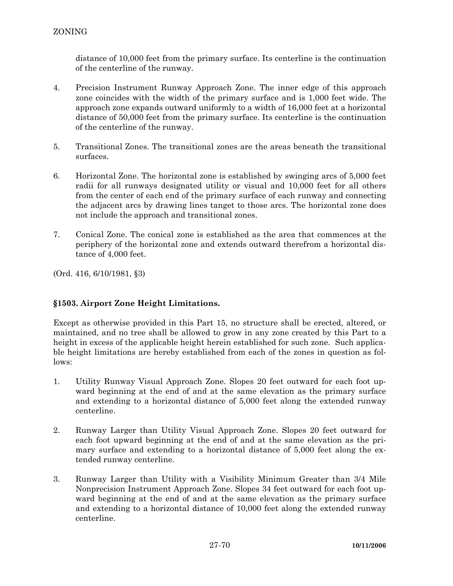distance of 10,000 feet from the primary surface. Its centerline is the continuation of the centerline of the runway.

- 4. Precision Instrument Runway Approach Zone. The inner edge of this approach zone coincides with the width of the primary surface and is 1,000 feet wide. The approach zone expands outward uniformly to a width of 16,000 feet at a horizontal distance of 50,000 feet from the primary surface. Its centerline is the continuation of the centerline of the runway.
- 5. Transitional Zones. The transitional zones are the areas beneath the transitional surfaces.
- 6. Horizontal Zone. The horizontal zone is established by swinging arcs of 5,000 feet radii for all runways designated utility or visual and 10,000 feet for all others from the center of each end of the primary surface of each runway and connecting the adjacent arcs by drawing lines tanget to those arcs. The horizontal zone does not include the approach and transitional zones.
- 7. Conical Zone. The conical zone is established as the area that commences at the periphery of the horizontal zone and extends outward therefrom a horizontal distance of 4,000 feet.

(Ord. 416, 6/10/1981, §3)

## **§1503. Airport Zone Height Limitations.**

Except as otherwise provided in this Part 15, no structure shall be erected, altered, or maintained, and no tree shall be allowed to grow in any zone created by this Part to a height in excess of the applicable height herein established for such zone. Such applicable height limitations are hereby established from each of the zones in question as follows:

- 1. Utility Runway Visual Approach Zone. Slopes 20 feet outward for each foot upward beginning at the end of and at the same elevation as the primary surface and extending to a horizontal distance of 5,000 feet along the extended runway centerline.
- 2. Runway Larger than Utility Visual Approach Zone. Slopes 20 feet outward for each foot upward beginning at the end of and at the same elevation as the primary surface and extending to a horizontal distance of 5,000 feet along the extended runway centerline.
- 3. Runway Larger than Utility with a Visibility Minimum Greater than 3/4 Mile Nonprecision Instrument Approach Zone. Slopes 34 feet outward for each foot upward beginning at the end of and at the same elevation as the primary surface and extending to a horizontal distance of 10,000 feet along the extended runway centerline.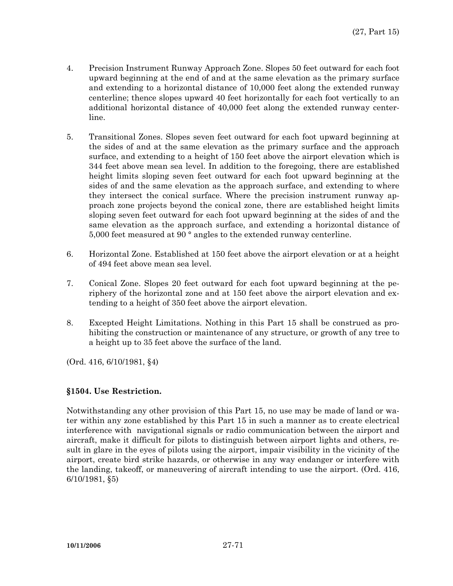- 4. Precision Instrument Runway Approach Zone. Slopes 50 feet outward for each foot upward beginning at the end of and at the same elevation as the primary surface and extending to a horizontal distance of 10,000 feet along the extended runway centerline; thence slopes upward 40 feet horizontally for each foot vertically to an additional horizontal distance of 40,000 feet along the extended runway centerline.
- 5. Transitional Zones. Slopes seven feet outward for each foot upward beginning at the sides of and at the same elevation as the primary surface and the approach surface, and extending to a height of 150 feet above the airport elevation which is 344 feet above mean sea level. In addition to the foregoing, there are established height limits sloping seven feet outward for each foot upward beginning at the sides of and the same elevation as the approach surface, and extending to where they intersect the conical surface. Where the precision instrument runway approach zone projects beyond the conical zone, there are established height limits sloping seven feet outward for each foot upward beginning at the sides of and the same elevation as the approach surface, and extending a horizontal distance of 5,000 feet measured at 90 ° angles to the extended runway centerline.
- 6. Horizontal Zone. Established at 150 feet above the airport elevation or at a height of 494 feet above mean sea level.
- 7. Conical Zone. Slopes 20 feet outward for each foot upward beginning at the periphery of the horizontal zone and at 150 feet above the airport elevation and extending to a height of 350 feet above the airport elevation.
- 8. Excepted Height Limitations. Nothing in this Part 15 shall be construed as prohibiting the construction or maintenance of any structure, or growth of any tree to a height up to 35 feet above the surface of the land.

(Ord. 416, 6/10/1981, §4)

## **§1504. Use Restriction.**

Notwithstanding any other provision of this Part 15, no use may be made of land or water within any zone established by this Part 15 in such a manner as to create electrical interference with navigational signals or radio communication between the airport and aircraft, make it difficult for pilots to distinguish between airport lights and others, result in glare in the eyes of pilots using the airport, impair visibility in the vicinity of the airport, create bird strike hazards, or otherwise in any way endanger or interfere with the landing, takeoff, or maneuvering of aircraft intending to use the airport. (Ord. 416, 6/10/1981, §5)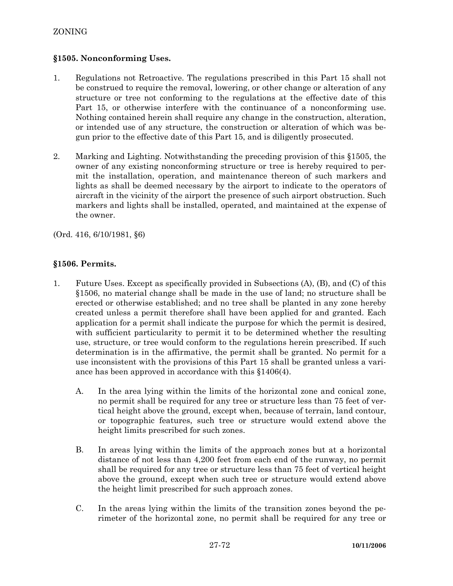## **§1505. Nonconforming Uses.**

- 1. Regulations not Retroactive. The regulations prescribed in this Part 15 shall not be construed to require the removal, lowering, or other change or alteration of any structure or tree not conforming to the regulations at the effective date of this Part 15, or otherwise interfere with the continuance of a nonconforming use. Nothing contained herein shall require any change in the construction, alteration, or intended use of any structure, the construction or alteration of which was begun prior to the effective date of this Part 15, and is diligently prosecuted.
- 2. Marking and Lighting. Notwithstanding the preceding provision of this §1505, the owner of any existing nonconforming structure or tree is hereby required to permit the installation, operation, and maintenance thereon of such markers and lights as shall be deemed necessary by the airport to indicate to the operators of aircraft in the vicinity of the airport the presence of such airport obstruction. Such markers and lights shall be installed, operated, and maintained at the expense of the owner.

(Ord. 416, 6/10/1981, §6)

## **§1506. Permits.**

- 1. Future Uses. Except as specifically provided in Subsections (A), (B), and (C) of this §1506, no material change shall be made in the use of land; no structure shall be erected or otherwise established; and no tree shall be planted in any zone hereby created unless a permit therefore shall have been applied for and granted. Each application for a permit shall indicate the purpose for which the permit is desired, with sufficient particularity to permit it to be determined whether the resulting use, structure, or tree would conform to the regulations herein prescribed. If such determination is in the affirmative, the permit shall be granted. No permit for a use inconsistent with the provisions of this Part 15 shall be granted unless a variance has been approved in accordance with this §1406(4).
	- A. In the area lying within the limits of the horizontal zone and conical zone, no permit shall be required for any tree or structure less than 75 feet of vertical height above the ground, except when, because of terrain, land contour, or topographic features, such tree or structure would extend above the height limits prescribed for such zones.
	- B. In areas lying within the limits of the approach zones but at a horizontal distance of not less than 4,200 feet from each end of the runway, no permit shall be required for any tree or structure less than 75 feet of vertical height above the ground, except when such tree or structure would extend above the height limit prescribed for such approach zones.
	- C. In the areas lying within the limits of the transition zones beyond the perimeter of the horizontal zone, no permit shall be required for any tree or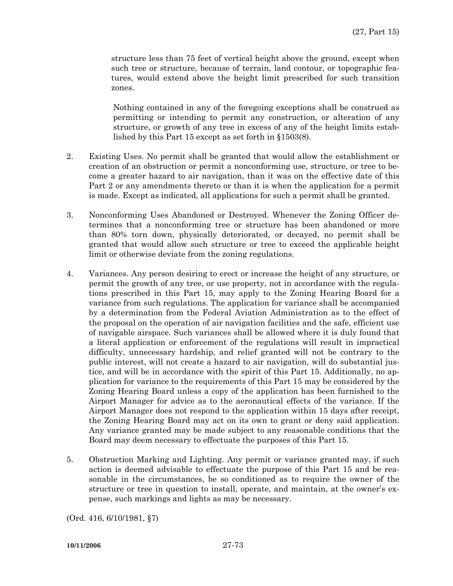structure less than 75 feet of vertical height above the ground, except when such tree or structure, because of terrain, land contour, or topographic features, would extend above the height limit prescribed for such transition zones.

Nothing contained in any of the foregoing exceptions shall be construed as permitting or intending to permit any construction, or alteration of any structure, or growth of any tree in excess of any of the height limits established by this Part 15 except as set forth in §1503(8).

- 2. Existing Uses. No permit shall be granted that would allow the establishment or creation of an obstruction or permit a nonconforming use, structure, or tree to become a greater hazard to air navigation, than it was on the effective date of this Part 2 or any amendments thereto or than it is when the application for a permit is made. Except as indicated, all applications for such a permit shall be granted.
- 3. Nonconforming Uses Abandoned or Destroyed. Whenever the Zoning Officer determines that a nonconforming tree or structure has been abandoned or more than 80% torn down, physically deteriorated, or decayed, no permit shall be granted that would allow such structure or tree to exceed the applicable height limit or otherwise deviate from the zoning regulations.
- 4. Variances. Any person desiring to erect or increase the height of any structure, or permit the growth of any tree, or use property, not in accordance with the regulations prescribed in this Part 15, may apply to the Zoning Hearing Board for a variance from such regulations. The application for variance shall be accompanied by a determination from the Federal Aviation Administration as to the effect of the proposal on the operation of air navigation facilities and the safe, efficient use of navigable airspace. Such variances shall be allowed where it is duly found that a literal application or enforcement of the regulations will result in impractical difficulty, unnecessary hardship, and relief granted will not be contrary to the public interest, will not create a hazard to air navigation, will do substantial justice, and will be in accordance with the spirit of this Part 15. Additionally, no application for variance to the requirements of this Part 15 may be considered by the Zoning Hearing Board unless a copy of the application has been furnished to the Airport Manager for advice as to the aeronautical effects of the variance. If the Airport Manager does not respond to the application within 15 days after receipt, the Zoning Hearing Board may act on its own to grant or deny said application. Any variance granted may be made subject to any reasonable conditions that the Board may deem necessary to effectuate the purposes of this Part 15.
- 5. Obstruction Marking and Lighting. Any permit or variance granted may, if such action is deemed advisable to effectuate the purpose of this Part 15 and be reasonable in the circumstances, be so conditioned as to require the owner of the structure or tree in question to install, operate, and maintain, at the owner's expense, such markings and lights as may be necessary.

(Ord. 416, 6/10/1981, §7)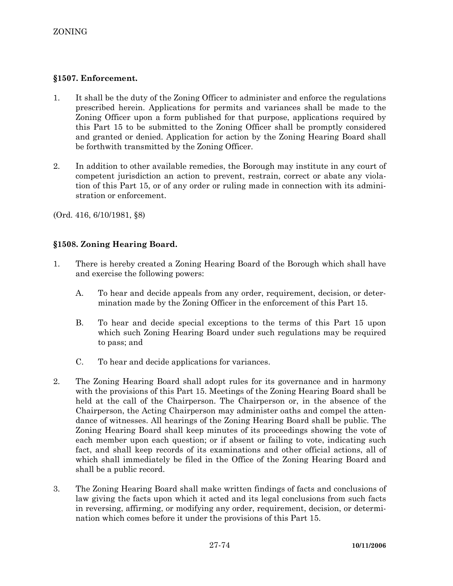## **§1507. Enforcement.**

- 1. It shall be the duty of the Zoning Officer to administer and enforce the regulations prescribed herein. Applications for permits and variances shall be made to the Zoning Officer upon a form published for that purpose, applications required by this Part 15 to be submitted to the Zoning Officer shall be promptly considered and granted or denied. Application for action by the Zoning Hearing Board shall be forthwith transmitted by the Zoning Officer.
- 2. In addition to other available remedies, the Borough may institute in any court of competent jurisdiction an action to prevent, restrain, correct or abate any violation of this Part 15, or of any order or ruling made in connection with its administration or enforcement.

(Ord. 416, 6/10/1981, §8)

# **§1508. Zoning Hearing Board.**

- 1. There is hereby created a Zoning Hearing Board of the Borough which shall have and exercise the following powers:
	- A. To hear and decide appeals from any order, requirement, decision, or determination made by the Zoning Officer in the enforcement of this Part 15.
	- B. To hear and decide special exceptions to the terms of this Part 15 upon which such Zoning Hearing Board under such regulations may be required to pass; and
	- C. To hear and decide applications for variances.
- 2. The Zoning Hearing Board shall adopt rules for its governance and in harmony with the provisions of this Part 15. Meetings of the Zoning Hearing Board shall be held at the call of the Chairperson. The Chairperson or, in the absence of the Chairperson, the Acting Chairperson may administer oaths and compel the attendance of witnesses. All hearings of the Zoning Hearing Board shall be public. The Zoning Hearing Board shall keep minutes of its proceedings showing the vote of each member upon each question; or if absent or failing to vote, indicating such fact, and shall keep records of its examinations and other official actions, all of which shall immediately be filed in the Office of the Zoning Hearing Board and shall be a public record.
- 3. The Zoning Hearing Board shall make written findings of facts and conclusions of law giving the facts upon which it acted and its legal conclusions from such facts in reversing, affirming, or modifying any order, requirement, decision, or determination which comes before it under the provisions of this Part 15.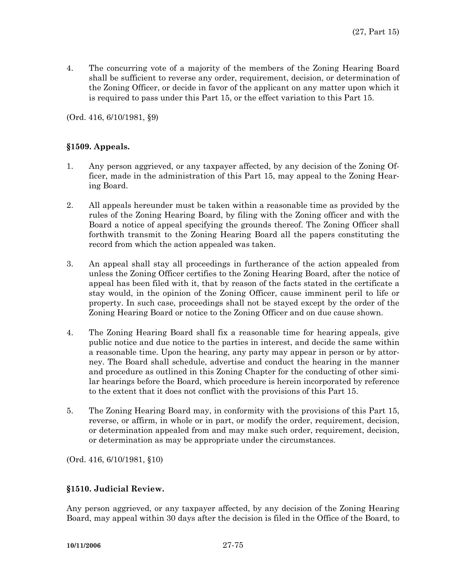4. The concurring vote of a majority of the members of the Zoning Hearing Board shall be sufficient to reverse any order, requirement, decision, or determination of the Zoning Officer, or decide in favor of the applicant on any matter upon which it is required to pass under this Part 15, or the effect variation to this Part 15.

(Ord. 416, 6/10/1981, §9)

## **§1509. Appeals.**

- 1. Any person aggrieved, or any taxpayer affected, by any decision of the Zoning Officer, made in the administration of this Part 15, may appeal to the Zoning Hearing Board.
- 2. All appeals hereunder must be taken within a reasonable time as provided by the rules of the Zoning Hearing Board, by filing with the Zoning officer and with the Board a notice of appeal specifying the grounds thereof. The Zoning Officer shall forthwith transmit to the Zoning Hearing Board all the papers constituting the record from which the action appealed was taken.
- 3. An appeal shall stay all proceedings in furtherance of the action appealed from unless the Zoning Officer certifies to the Zoning Hearing Board, after the notice of appeal has been filed with it, that by reason of the facts stated in the certificate a stay would, in the opinion of the Zoning Officer, cause imminent peril to life or property. In such case, proceedings shall not be stayed except by the order of the Zoning Hearing Board or notice to the Zoning Officer and on due cause shown.
- 4. The Zoning Hearing Board shall fix a reasonable time for hearing appeals, give public notice and due notice to the parties in interest, and decide the same within a reasonable time. Upon the hearing, any party may appear in person or by attorney. The Board shall schedule, advertise and conduct the hearing in the manner and procedure as outlined in this Zoning Chapter for the conducting of other similar hearings before the Board, which procedure is herein incorporated by reference to the extent that it does not conflict with the provisions of this Part 15.
- 5. The Zoning Hearing Board may, in conformity with the provisions of this Part 15, reverse, or affirm, in whole or in part, or modify the order, requirement, decision, or determination appealed from and may make such order, requirement, decision, or determination as may be appropriate under the circumstances.

(Ord. 416, 6/10/1981, §10)

## **§1510. Judicial Review.**

Any person aggrieved, or any taxpayer affected, by any decision of the Zoning Hearing Board, may appeal within 30 days after the decision is filed in the Office of the Board, to